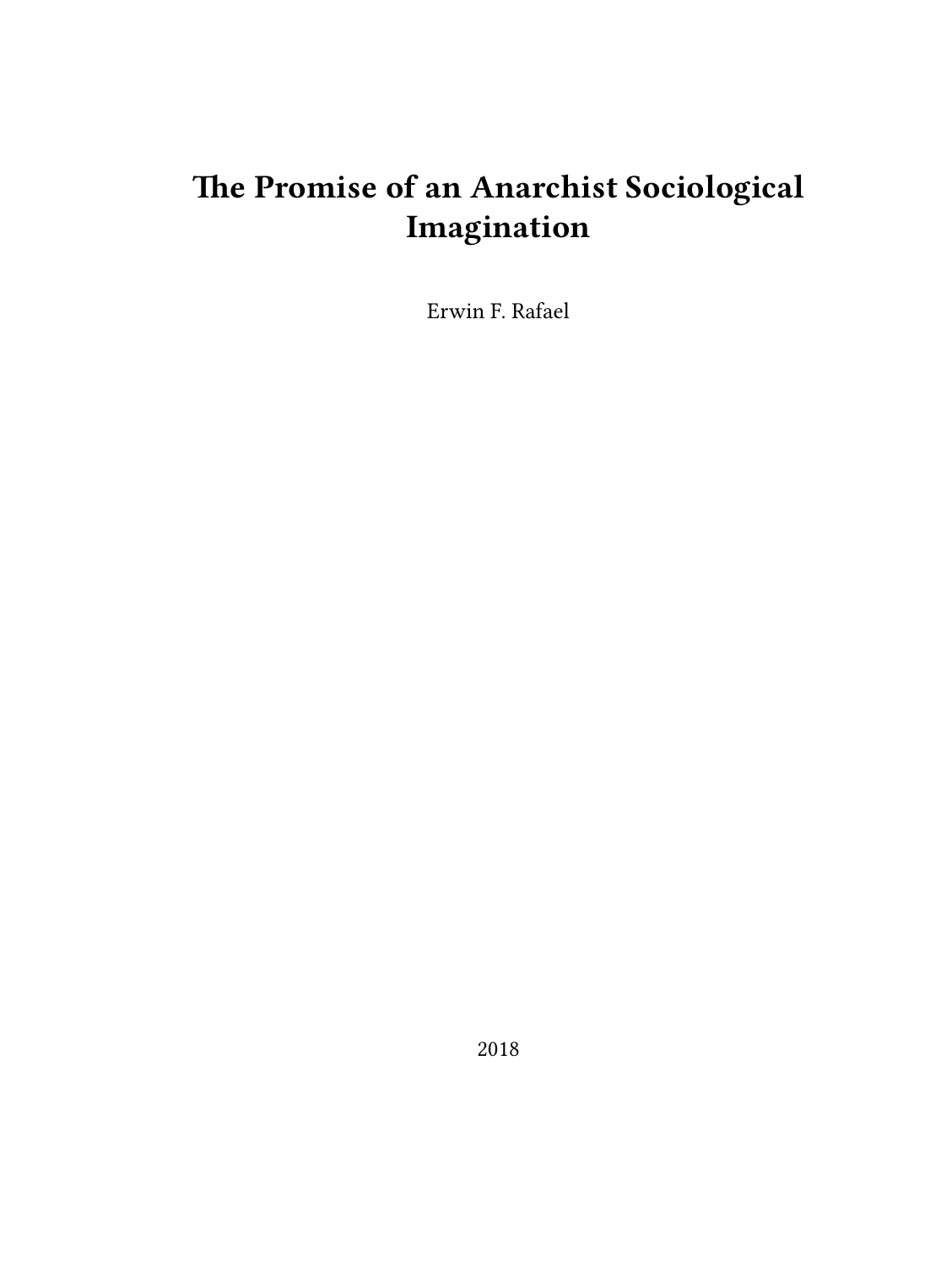# **The Promise of an Anarchist Sociological Imagination**

Erwin F. Rafael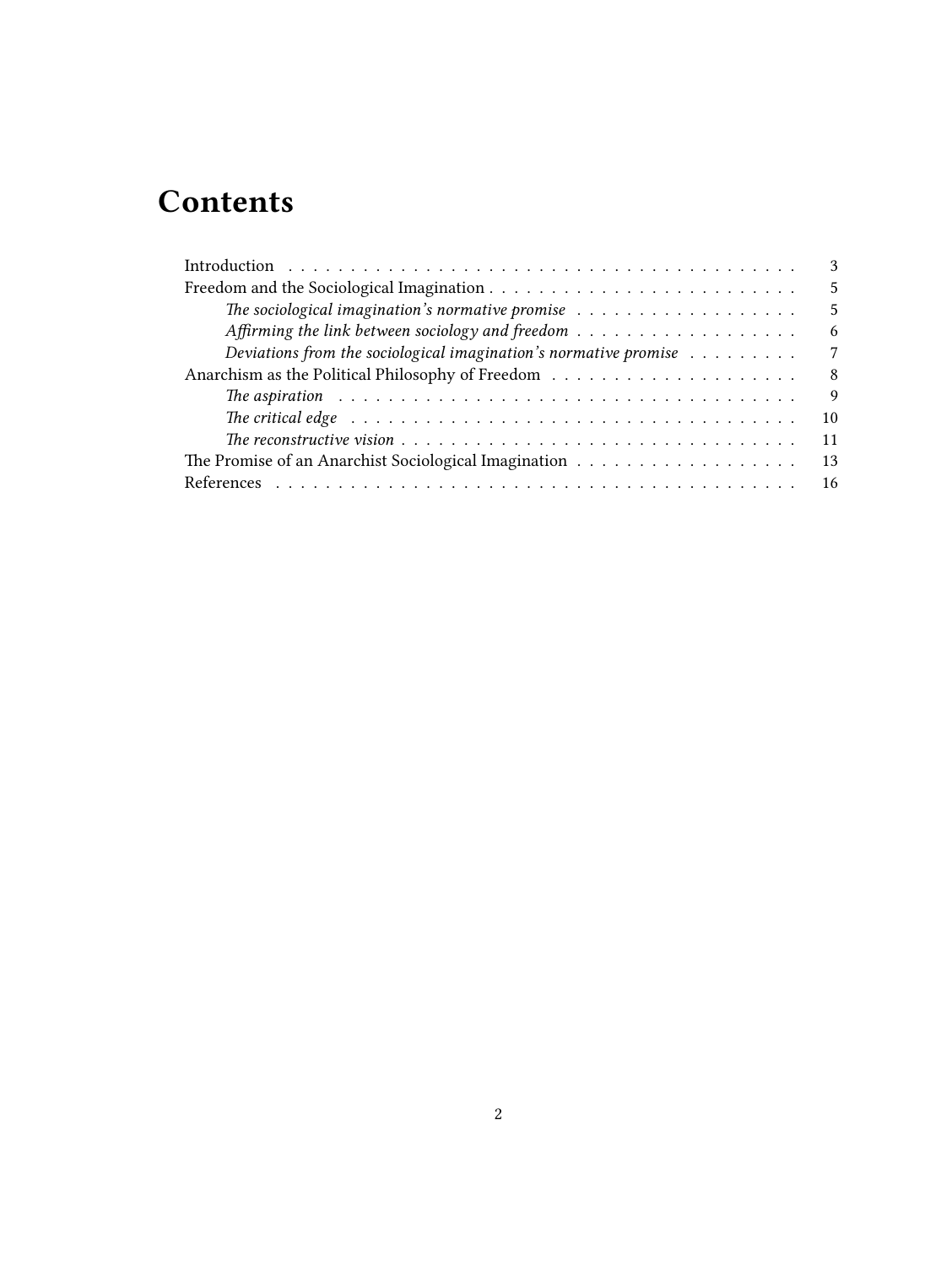# **Contents**

| 3                                                                                                                    |
|----------------------------------------------------------------------------------------------------------------------|
| .5                                                                                                                   |
| The sociological imagination's normative promise $\dots \dots \dots \dots \dots \dots \dots$<br>5                    |
| Affirming the link between sociology and freedom $\dots \dots \dots \dots \dots \dots \dots$<br>6                    |
| Deviations from the sociological imagination's normative promise $\dots \dots \dots$<br>7                            |
| -8                                                                                                                   |
| 9                                                                                                                    |
| The critical edge $\ldots \ldots \ldots \ldots \ldots \ldots \ldots \ldots \ldots \ldots \ldots \ldots \ldots$<br>10 |
| 11                                                                                                                   |
| 13                                                                                                                   |
|                                                                                                                      |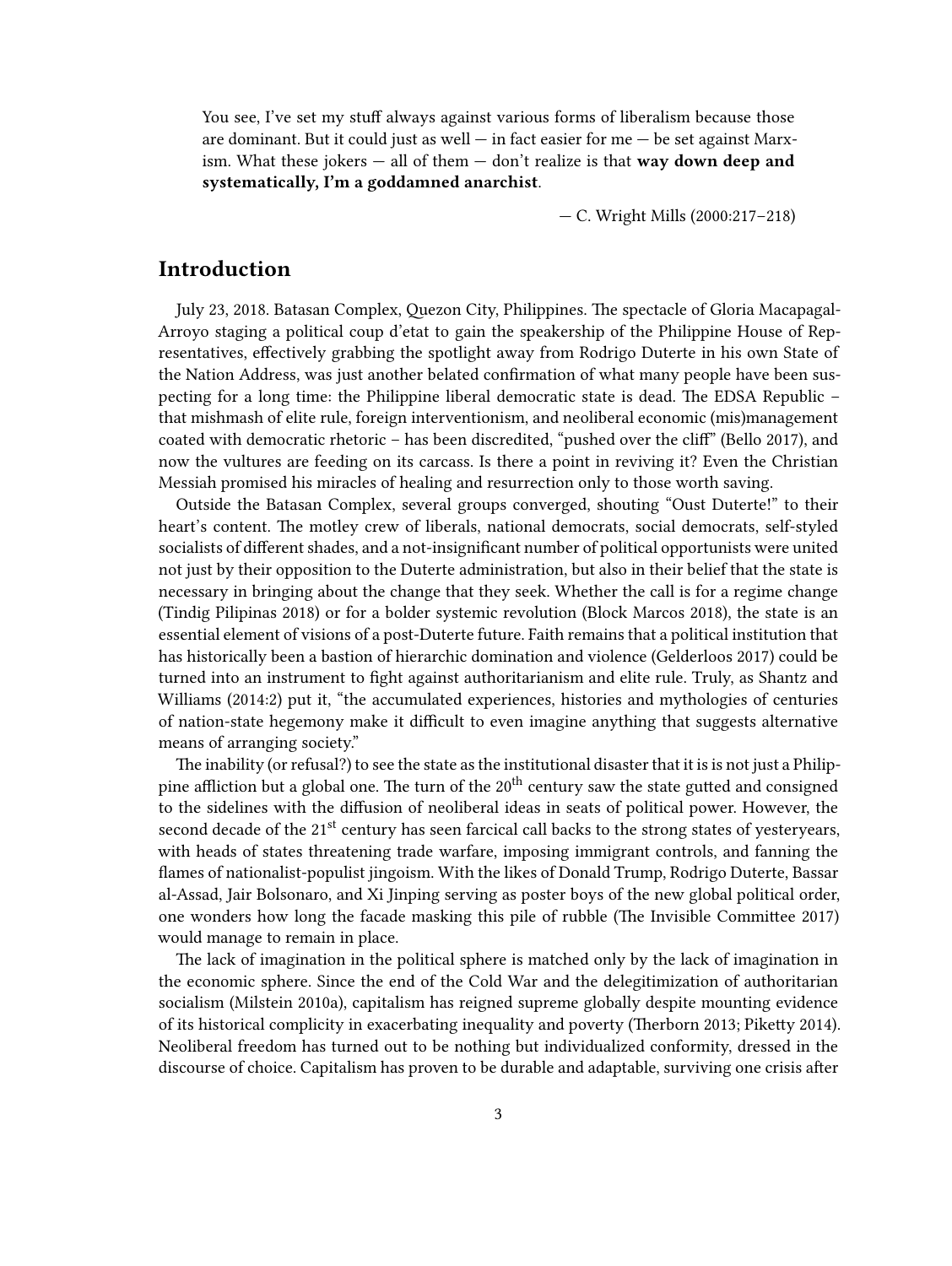You see, I've set my stuff always against various forms of liberalism because those are dominant. But it could just as well  $-$  in fact easier for me  $-$  be set against Marxism. What these jokers — all of them — don't realize is that **way down deep and systematically, I'm a goddamned anarchist**.

— C. Wright Mills (2000:217–218)

## <span id="page-2-0"></span>**Introduction**

July 23, 2018. Batasan Complex, Quezon City, Philippines. The spectacle of Gloria Macapagal-Arroyo staging a political coup d'etat to gain the speakership of the Philippine House of Representatives, effectively grabbing the spotlight away from Rodrigo Duterte in his own State of the Nation Address, was just another belated confirmation of what many people have been suspecting for a long time: the Philippine liberal democratic state is dead. The EDSA Republic – that mishmash of elite rule, foreign interventionism, and neoliberal economic (mis)management coated with democratic rhetoric – has been discredited, "pushed over the cliff" (Bello 2017), and now the vultures are feeding on its carcass. Is there a point in reviving it? Even the Christian Messiah promised his miracles of healing and resurrection only to those worth saving.

Outside the Batasan Complex, several groups converged, shouting "Oust Duterte!" to their heart's content. The motley crew of liberals, national democrats, social democrats, self-styled socialists of different shades, and a not-insignificant number of political opportunists were united not just by their opposition to the Duterte administration, but also in their belief that the state is necessary in bringing about the change that they seek. Whether the call is for a regime change (Tindig Pilipinas 2018) or for a bolder systemic revolution (Block Marcos 2018), the state is an essential element of visions of a post-Duterte future. Faith remains that a political institution that has historically been a bastion of hierarchic domination and violence (Gelderloos 2017) could be turned into an instrument to fight against authoritarianism and elite rule. Truly, as Shantz and Williams (2014:2) put it, "the accumulated experiences, histories and mythologies of centuries of nation-state hegemony make it difficult to even imagine anything that suggests alternative means of arranging society."

The inability (or refusal?) to see the state as the institutional disaster that it is is not just a Philippine affliction but a global one. The turn of the  $20<sup>th</sup>$  century saw the state gutted and consigned to the sidelines with the diffusion of neoliberal ideas in seats of political power. However, the second decade of the 21<sup>st</sup> century has seen farcical call backs to the strong states of yesteryears, with heads of states threatening trade warfare, imposing immigrant controls, and fanning the flames of nationalist-populist jingoism. With the likes of Donald Trump, Rodrigo Duterte, Bassar al-Assad, Jair Bolsonaro, and Xi Jinping serving as poster boys of the new global political order, one wonders how long the facade masking this pile of rubble (The Invisible Committee 2017) would manage to remain in place.

The lack of imagination in the political sphere is matched only by the lack of imagination in the economic sphere. Since the end of the Cold War and the delegitimization of authoritarian socialism (Milstein 2010a), capitalism has reigned supreme globally despite mounting evidence of its historical complicity in exacerbating inequality and poverty (Therborn 2013; Piketty 2014). Neoliberal freedom has turned out to be nothing but individualized conformity, dressed in the discourse of choice. Capitalism has proven to be durable and adaptable, surviving one crisis after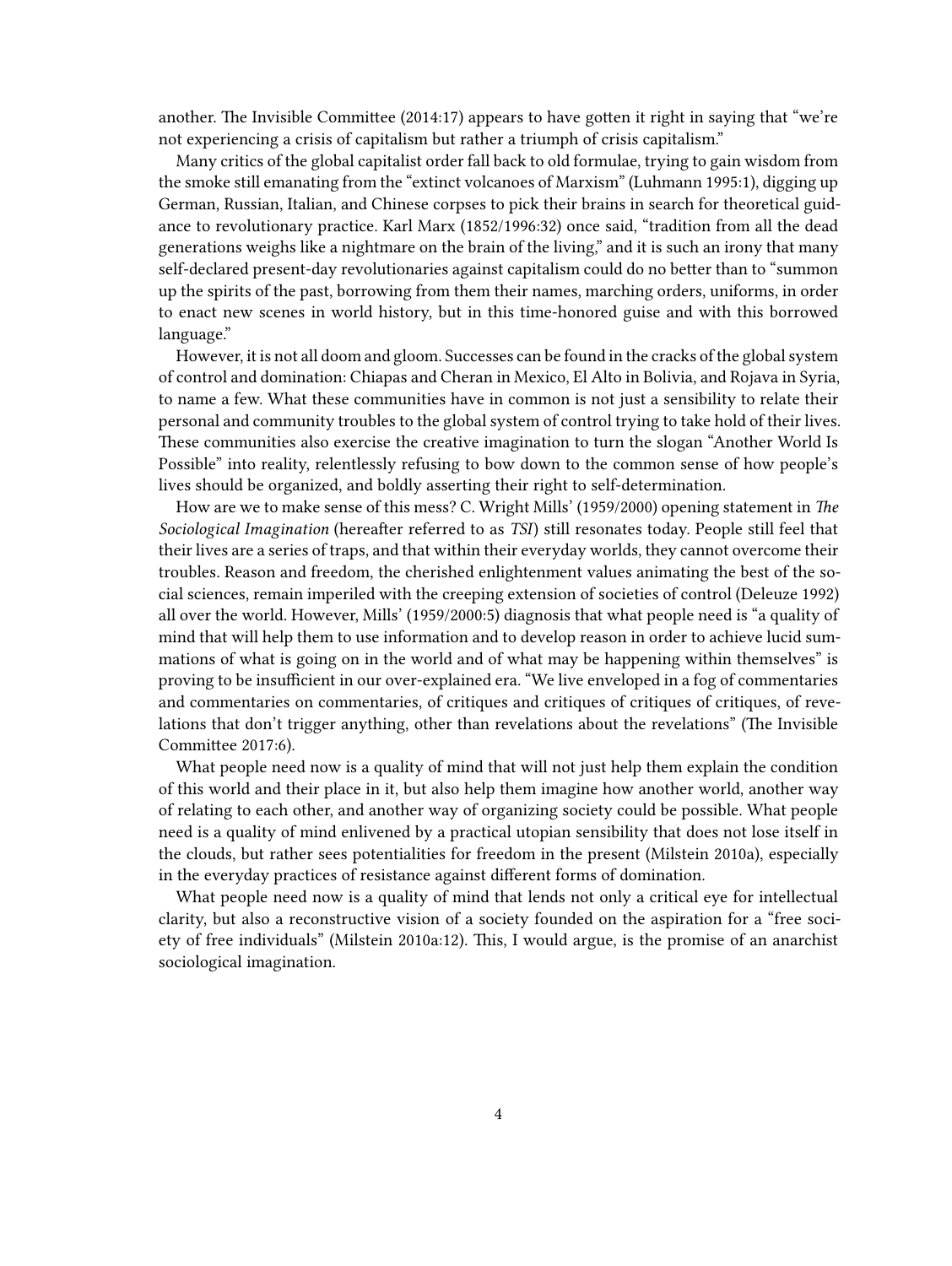another. The Invisible Committee (2014:17) appears to have gotten it right in saying that "we're not experiencing a crisis of capitalism but rather a triumph of crisis capitalism."

Many critics of the global capitalist order fall back to old formulae, trying to gain wisdom from the smoke still emanating from the "extinct volcanoes of Marxism" (Luhmann 1995:1), digging up German, Russian, Italian, and Chinese corpses to pick their brains in search for theoretical guidance to revolutionary practice. Karl Marx (1852/1996:32) once said, "tradition from all the dead generations weighs like a nightmare on the brain of the living," and it is such an irony that many self-declared present-day revolutionaries against capitalism could do no better than to "summon up the spirits of the past, borrowing from them their names, marching orders, uniforms, in order to enact new scenes in world history, but in this time-honored guise and with this borrowed language."

However, it is not all doom and gloom. Successes can be found in the cracks of the global system of control and domination: Chiapas and Cheran in Mexico, El Alto in Bolivia, and Rojava in Syria, to name a few. What these communities have in common is not just a sensibility to relate their personal and community troubles to the global system of control trying to take hold of their lives. These communities also exercise the creative imagination to turn the slogan "Another World Is Possible" into reality, relentlessly refusing to bow down to the common sense of how people's lives should be organized, and boldly asserting their right to self-determination.

How are we to make sense of this mess? C. Wright Mills' (1959/2000) opening statement in *The Sociological Imagination* (hereafter referred to as *TSI*) still resonates today. People still feel that their lives are a series of traps, and that within their everyday worlds, they cannot overcome their troubles. Reason and freedom, the cherished enlightenment values animating the best of the social sciences, remain imperiled with the creeping extension of societies of control (Deleuze 1992) all over the world. However, Mills' (1959/2000:5) diagnosis that what people need is "a quality of mind that will help them to use information and to develop reason in order to achieve lucid summations of what is going on in the world and of what may be happening within themselves" is proving to be insufficient in our over-explained era. "We live enveloped in a fog of commentaries and commentaries on commentaries, of critiques and critiques of critiques of critiques, of revelations that don't trigger anything, other than revelations about the revelations" (The Invisible Committee 2017:6).

What people need now is a quality of mind that will not just help them explain the condition of this world and their place in it, but also help them imagine how another world, another way of relating to each other, and another way of organizing society could be possible. What people need is a quality of mind enlivened by a practical utopian sensibility that does not lose itself in the clouds, but rather sees potentialities for freedom in the present (Milstein 2010a), especially in the everyday practices of resistance against different forms of domination.

What people need now is a quality of mind that lends not only a critical eye for intellectual clarity, but also a reconstructive vision of a society founded on the aspiration for a "free society of free individuals" (Milstein 2010a:12). This, I would argue, is the promise of an anarchist sociological imagination.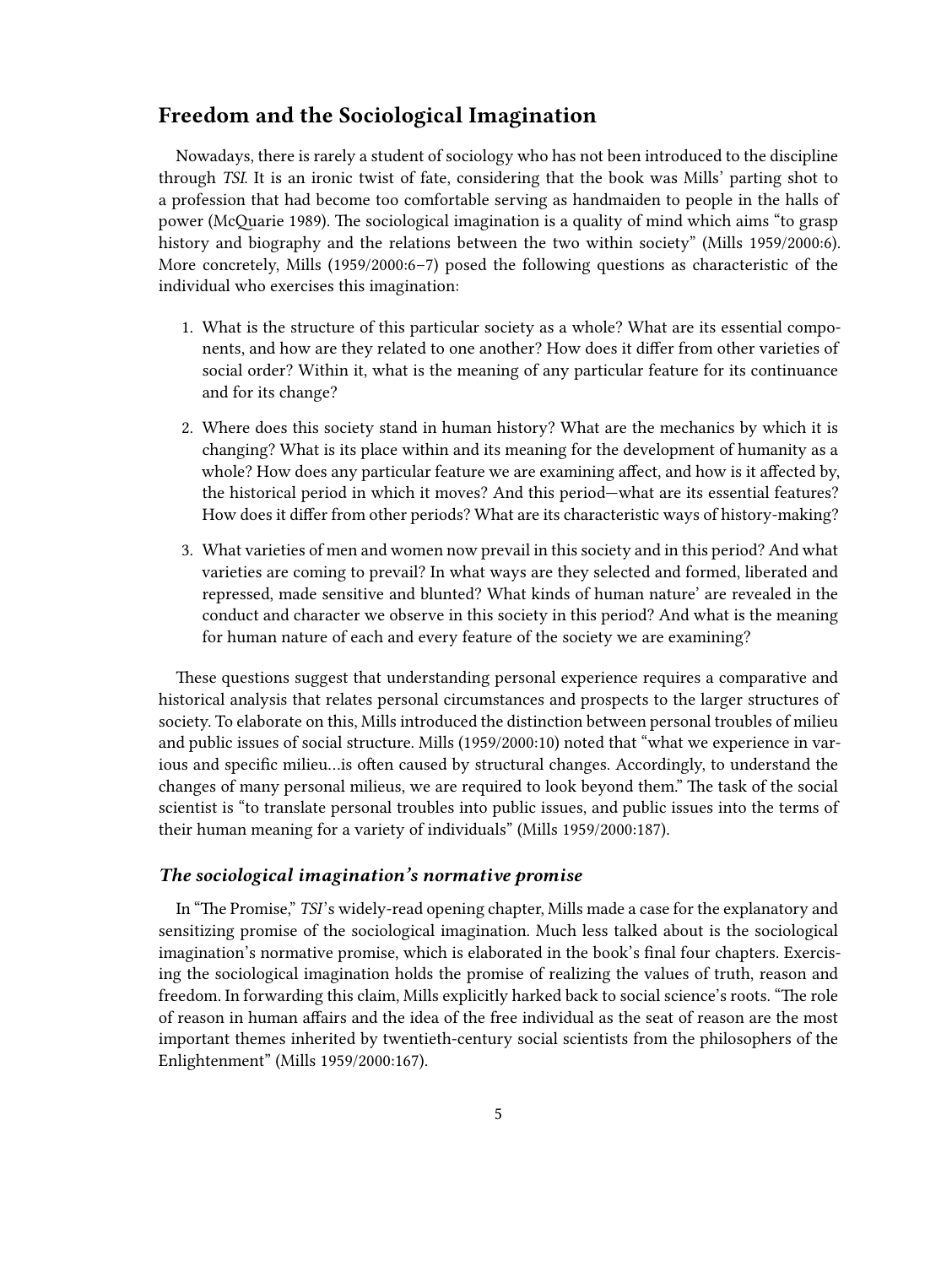## <span id="page-4-0"></span>**Freedom and the Sociological Imagination**

Nowadays, there is rarely a student of sociology who has not been introduced to the discipline through *TSI*. It is an ironic twist of fate, considering that the book was Mills' parting shot to a profession that had become too comfortable serving as handmaiden to people in the halls of power (McQuarie 1989). The sociological imagination is a quality of mind which aims "to grasp history and biography and the relations between the two within society" (Mills 1959/2000:6). More concretely, Mills (1959/2000:6–7) posed the following questions as characteristic of the individual who exercises this imagination:

- 1. What is the structure of this particular society as a whole? What are its essential components, and how are they related to one another? How does it differ from other varieties of social order? Within it, what is the meaning of any particular feature for its continuance and for its change?
- 2. Where does this society stand in human history? What are the mechanics by which it is changing? What is its place within and its meaning for the development of humanity as a whole? How does any particular feature we are examining affect, and how is it affected by, the historical period in which it moves? And this period—what are its essential features? How does it differ from other periods? What are its characteristic ways of history-making?
- 3. What varieties of men and women now prevail in this society and in this period? And what varieties are coming to prevail? In what ways are they selected and formed, liberated and repressed, made sensitive and blunted? What kinds of human nature' are revealed in the conduct and character we observe in this society in this period? And what is the meaning for human nature of each and every feature of the society we are examining?

These questions suggest that understanding personal experience requires a comparative and historical analysis that relates personal circumstances and prospects to the larger structures of society. To elaborate on this, Mills introduced the distinction between personal troubles of milieu and public issues of social structure. Mills (1959/2000:10) noted that "what we experience in various and specific milieu…is often caused by structural changes. Accordingly, to understand the changes of many personal milieus, we are required to look beyond them." The task of the social scientist is "to translate personal troubles into public issues, and public issues into the terms of their human meaning for a variety of individuals" (Mills 1959/2000:187).

#### <span id="page-4-1"></span>*The sociological imagination's normative promise*

In "The Promise," *TSI*'s widely-read opening chapter, Mills made a case for the explanatory and sensitizing promise of the sociological imagination. Much less talked about is the sociological imagination's normative promise, which is elaborated in the book's final four chapters. Exercising the sociological imagination holds the promise of realizing the values of truth, reason and freedom. In forwarding this claim, Mills explicitly harked back to social science's roots. "The role of reason in human affairs and the idea of the free individual as the seat of reason are the most important themes inherited by twentieth-century social scientists from the philosophers of the Enlightenment" (Mills 1959/2000:167).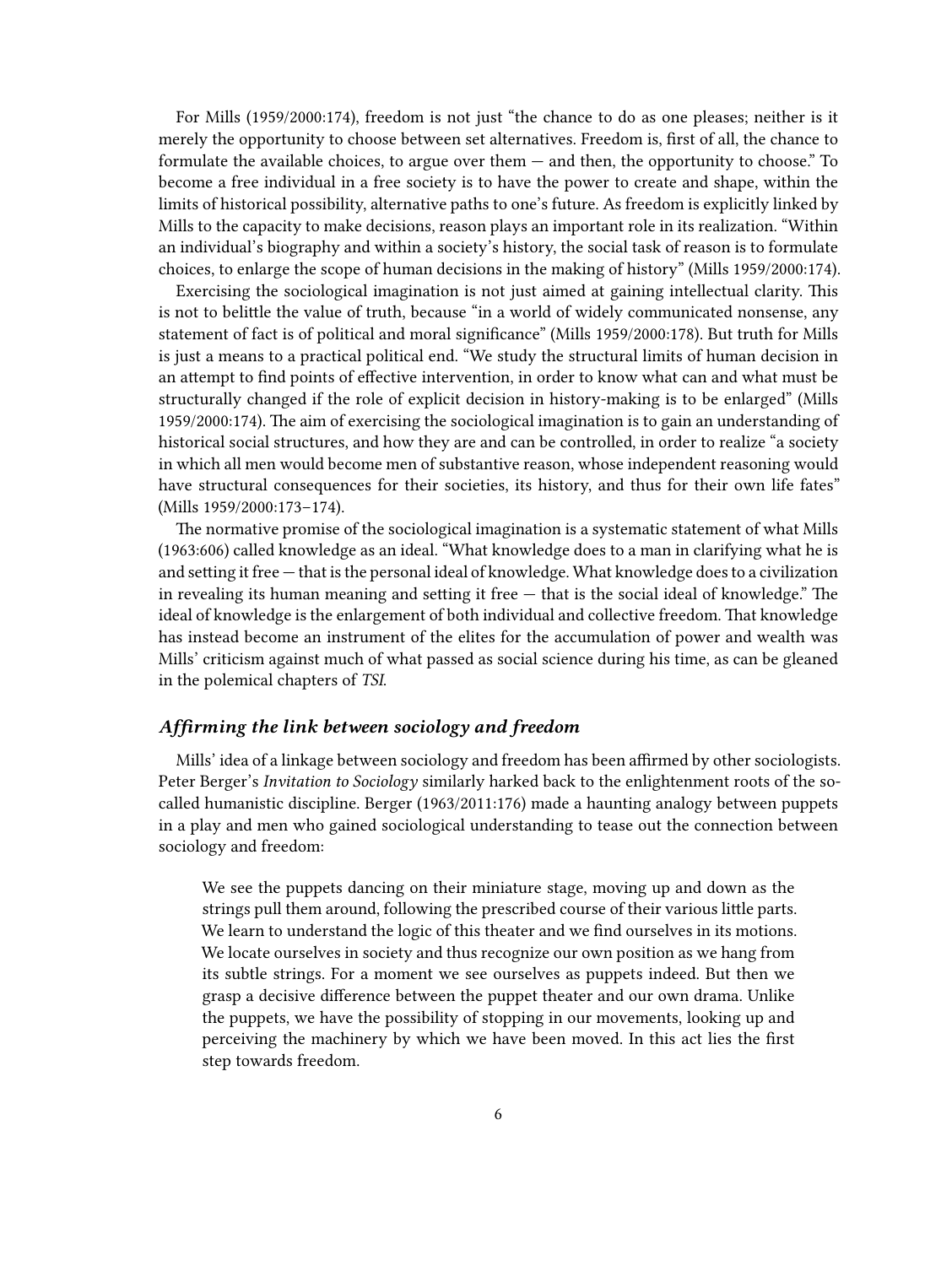For Mills (1959/2000:174), freedom is not just "the chance to do as one pleases; neither is it merely the opportunity to choose between set alternatives. Freedom is, first of all, the chance to formulate the available choices, to argue over them — and then, the opportunity to choose." To become a free individual in a free society is to have the power to create and shape, within the limits of historical possibility, alternative paths to one's future. As freedom is explicitly linked by Mills to the capacity to make decisions, reason plays an important role in its realization. "Within an individual's biography and within a society's history, the social task of reason is to formulate choices, to enlarge the scope of human decisions in the making of history" (Mills 1959/2000:174).

Exercising the sociological imagination is not just aimed at gaining intellectual clarity. This is not to belittle the value of truth, because "in a world of widely communicated nonsense, any statement of fact is of political and moral significance" (Mills 1959/2000:178). But truth for Mills is just a means to a practical political end. "We study the structural limits of human decision in an attempt to find points of effective intervention, in order to know what can and what must be structurally changed if the role of explicit decision in history-making is to be enlarged" (Mills 1959/2000:174). The aim of exercising the sociological imagination is to gain an understanding of historical social structures, and how they are and can be controlled, in order to realize "a society in which all men would become men of substantive reason, whose independent reasoning would have structural consequences for their societies, its history, and thus for their own life fates" (Mills 1959/2000:173–174).

The normative promise of the sociological imagination is a systematic statement of what Mills (1963:606) called knowledge as an ideal. "What knowledge does to a man in clarifying what he is and setting it free — that is the personal ideal of knowledge. What knowledge does to a civilization in revealing its human meaning and setting it free  $-$  that is the social ideal of knowledge." The ideal of knowledge is the enlargement of both individual and collective freedom. That knowledge has instead become an instrument of the elites for the accumulation of power and wealth was Mills' criticism against much of what passed as social science during his time, as can be gleaned in the polemical chapters of *TSI*.

### <span id="page-5-0"></span>*Affirming the link between sociology and freedom*

Mills' idea of a linkage between sociology and freedom has been affirmed by other sociologists. Peter Berger's *Invitation to Sociology* similarly harked back to the enlightenment roots of the socalled humanistic discipline. Berger (1963/2011:176) made a haunting analogy between puppets in a play and men who gained sociological understanding to tease out the connection between sociology and freedom:

We see the puppets dancing on their miniature stage, moving up and down as the strings pull them around, following the prescribed course of their various little parts. We learn to understand the logic of this theater and we find ourselves in its motions. We locate ourselves in society and thus recognize our own position as we hang from its subtle strings. For a moment we see ourselves as puppets indeed. But then we grasp a decisive difference between the puppet theater and our own drama. Unlike the puppets, we have the possibility of stopping in our movements, looking up and perceiving the machinery by which we have been moved. In this act lies the first step towards freedom.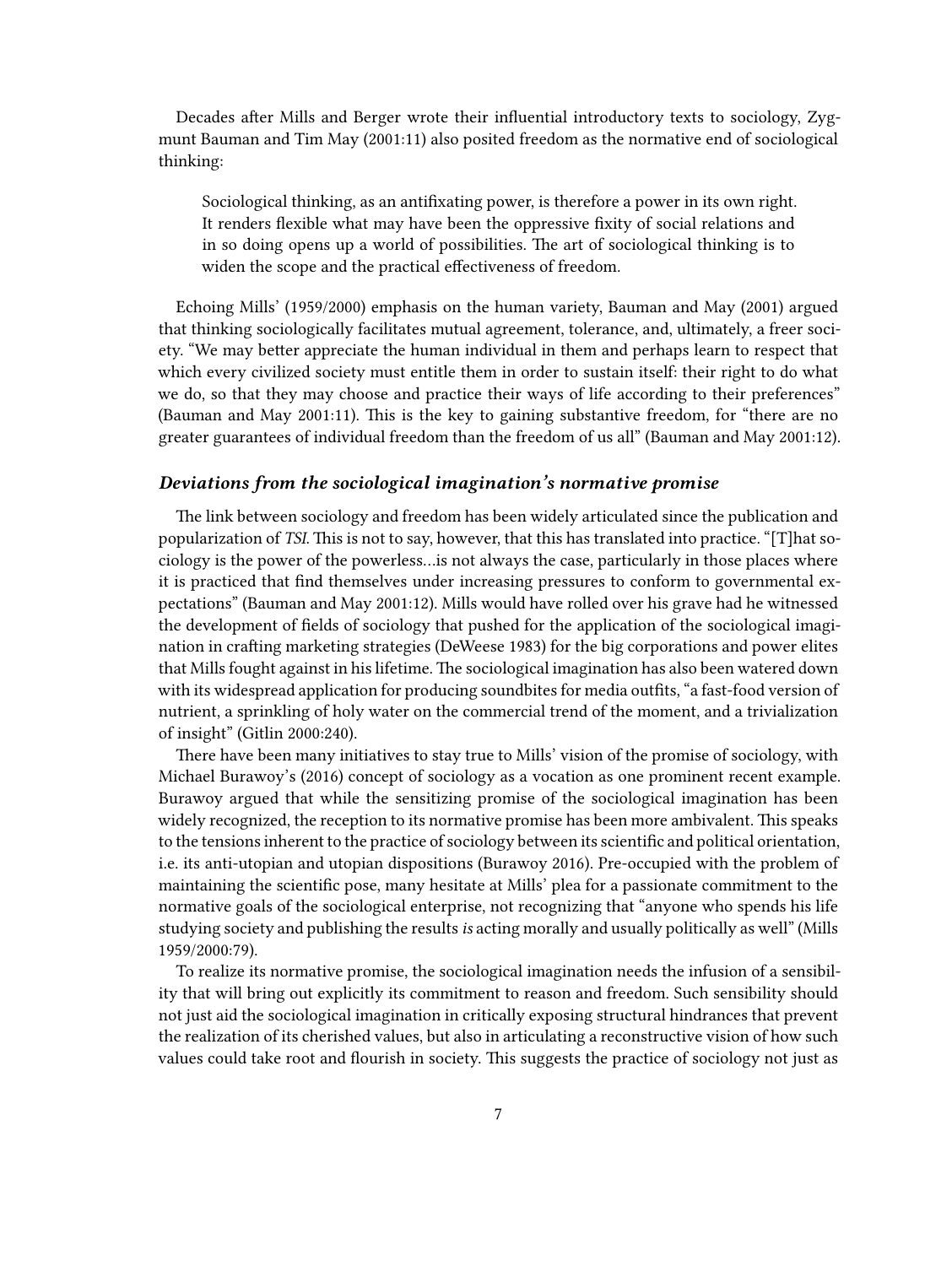Decades after Mills and Berger wrote their influential introductory texts to sociology, Zygmunt Bauman and Tim May (2001:11) also posited freedom as the normative end of sociological thinking:

Sociological thinking, as an antifixating power, is therefore a power in its own right. It renders flexible what may have been the oppressive fixity of social relations and in so doing opens up a world of possibilities. The art of sociological thinking is to widen the scope and the practical effectiveness of freedom.

Echoing Mills' (1959/2000) emphasis on the human variety, Bauman and May (2001) argued that thinking sociologically facilitates mutual agreement, tolerance, and, ultimately, a freer society. "We may better appreciate the human individual in them and perhaps learn to respect that which every civilized society must entitle them in order to sustain itself: their right to do what we do, so that they may choose and practice their ways of life according to their preferences" (Bauman and May 2001:11). This is the key to gaining substantive freedom, for "there are no greater guarantees of individual freedom than the freedom of us all" (Bauman and May 2001:12).

## <span id="page-6-0"></span>*Deviations from the sociological imagination's normative promise*

The link between sociology and freedom has been widely articulated since the publication and popularization of *TSI*. This is not to say, however, that this has translated into practice. "[T]hat sociology is the power of the powerless…is not always the case, particularly in those places where it is practiced that find themselves under increasing pressures to conform to governmental expectations" (Bauman and May 2001:12). Mills would have rolled over his grave had he witnessed the development of fields of sociology that pushed for the application of the sociological imagination in crafting marketing strategies (DeWeese 1983) for the big corporations and power elites that Mills fought against in his lifetime. The sociological imagination has also been watered down with its widespread application for producing soundbites for media outfits, "a fast-food version of nutrient, a sprinkling of holy water on the commercial trend of the moment, and a trivialization of insight" (Gitlin 2000:240).

There have been many initiatives to stay true to Mills' vision of the promise of sociology, with Michael Burawoy's (2016) concept of sociology as a vocation as one prominent recent example. Burawoy argued that while the sensitizing promise of the sociological imagination has been widely recognized, the reception to its normative promise has been more ambivalent. This speaks to the tensions inherent to the practice of sociology between its scientific and political orientation, i.e. its anti-utopian and utopian dispositions (Burawoy 2016). Pre-occupied with the problem of maintaining the scientific pose, many hesitate at Mills' plea for a passionate commitment to the normative goals of the sociological enterprise, not recognizing that "anyone who spends his life studying society and publishing the results*is* acting morally and usually politically as well" (Mills 1959/2000:79).

To realize its normative promise, the sociological imagination needs the infusion of a sensibility that will bring out explicitly its commitment to reason and freedom. Such sensibility should not just aid the sociological imagination in critically exposing structural hindrances that prevent the realization of its cherished values, but also in articulating a reconstructive vision of how such values could take root and flourish in society. This suggests the practice of sociology not just as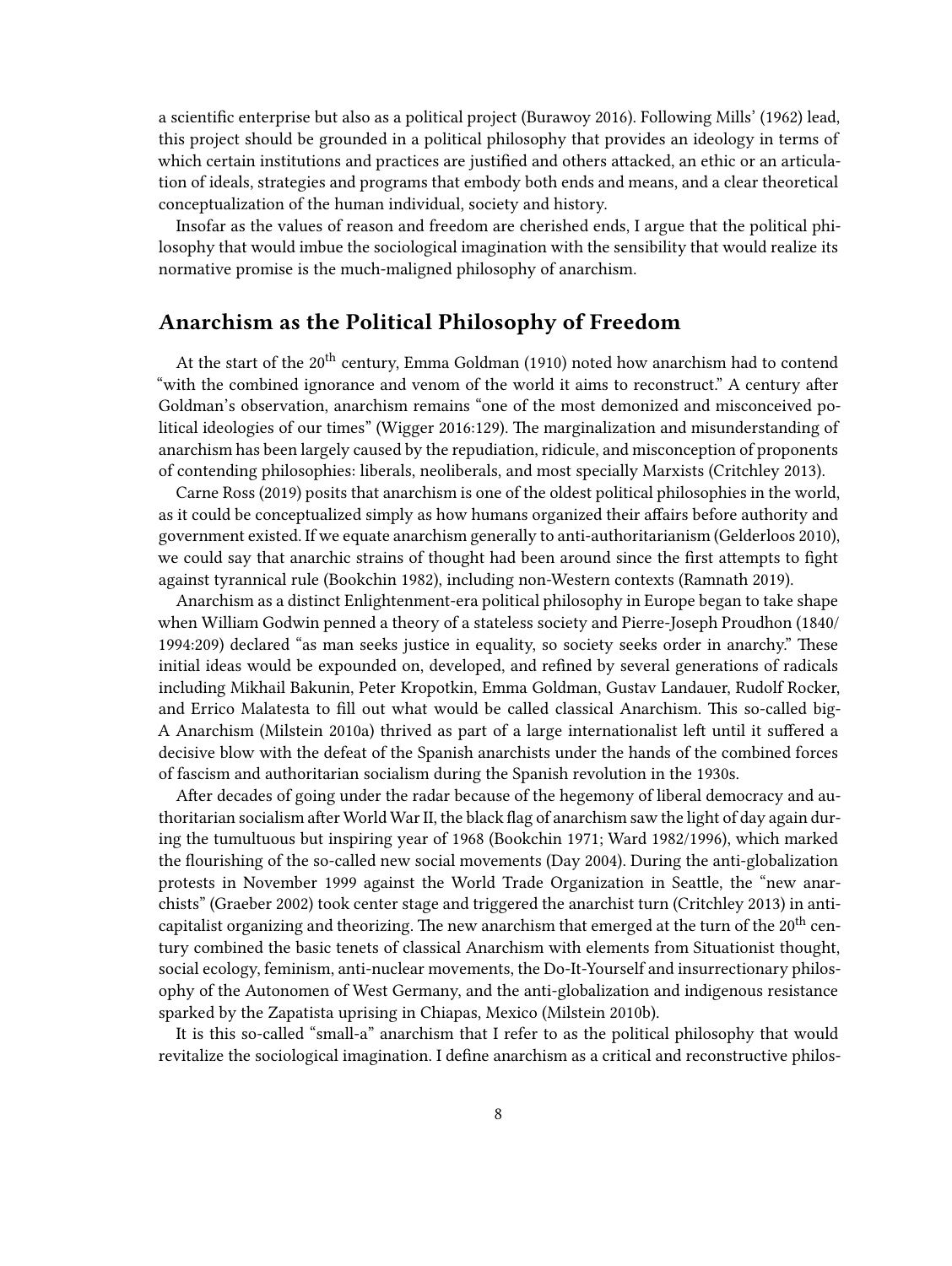a scientific enterprise but also as a political project (Burawoy 2016). Following Mills' (1962) lead, this project should be grounded in a political philosophy that provides an ideology in terms of which certain institutions and practices are justified and others attacked, an ethic or an articulation of ideals, strategies and programs that embody both ends and means, and a clear theoretical conceptualization of the human individual, society and history.

Insofar as the values of reason and freedom are cherished ends, I argue that the political philosophy that would imbue the sociological imagination with the sensibility that would realize its normative promise is the much-maligned philosophy of anarchism.

## <span id="page-7-0"></span>**Anarchism as the Political Philosophy of Freedom**

At the start of the 20<sup>th</sup> century, Emma Goldman (1910) noted how anarchism had to contend "with the combined ignorance and venom of the world it aims to reconstruct." A century after Goldman's observation, anarchism remains "one of the most demonized and misconceived political ideologies of our times" (Wigger 2016:129). The marginalization and misunderstanding of anarchism has been largely caused by the repudiation, ridicule, and misconception of proponents of contending philosophies: liberals, neoliberals, and most specially Marxists (Critchley 2013).

Carne Ross (2019) posits that anarchism is one of the oldest political philosophies in the world, as it could be conceptualized simply as how humans organized their affairs before authority and government existed. If we equate anarchism generally to anti-authoritarianism (Gelderloos 2010), we could say that anarchic strains of thought had been around since the first attempts to fight against tyrannical rule (Bookchin 1982), including non-Western contexts (Ramnath 2019).

Anarchism as a distinct Enlightenment-era political philosophy in Europe began to take shape when William Godwin penned a theory of a stateless society and Pierre-Joseph Proudhon (1840/ 1994:209) declared "as man seeks justice in equality, so society seeks order in anarchy." These initial ideas would be expounded on, developed, and refined by several generations of radicals including Mikhail Bakunin, Peter Kropotkin, Emma Goldman, Gustav Landauer, Rudolf Rocker, and Errico Malatesta to fill out what would be called classical Anarchism. This so-called big-A Anarchism (Milstein 2010a) thrived as part of a large internationalist left until it suffered a decisive blow with the defeat of the Spanish anarchists under the hands of the combined forces of fascism and authoritarian socialism during the Spanish revolution in the 1930s.

After decades of going under the radar because of the hegemony of liberal democracy and authoritarian socialism after World War II, the black flag of anarchism saw the light of day again during the tumultuous but inspiring year of 1968 (Bookchin 1971; Ward 1982/1996), which marked the flourishing of the so-called new social movements (Day 2004). During the anti-globalization protests in November 1999 against the World Trade Organization in Seattle, the "new anarchists" (Graeber 2002) took center stage and triggered the anarchist turn (Critchley 2013) in anticapitalist organizing and theorizing. The new anarchism that emerged at the turn of the 20<sup>th</sup> century combined the basic tenets of classical Anarchism with elements from Situationist thought, social ecology, feminism, anti-nuclear movements, the Do-It-Yourself and insurrectionary philosophy of the Autonomen of West Germany, and the anti-globalization and indigenous resistance sparked by the Zapatista uprising in Chiapas, Mexico (Milstein 2010b).

It is this so-called "small-a" anarchism that I refer to as the political philosophy that would revitalize the sociological imagination. I define anarchism as a critical and reconstructive philos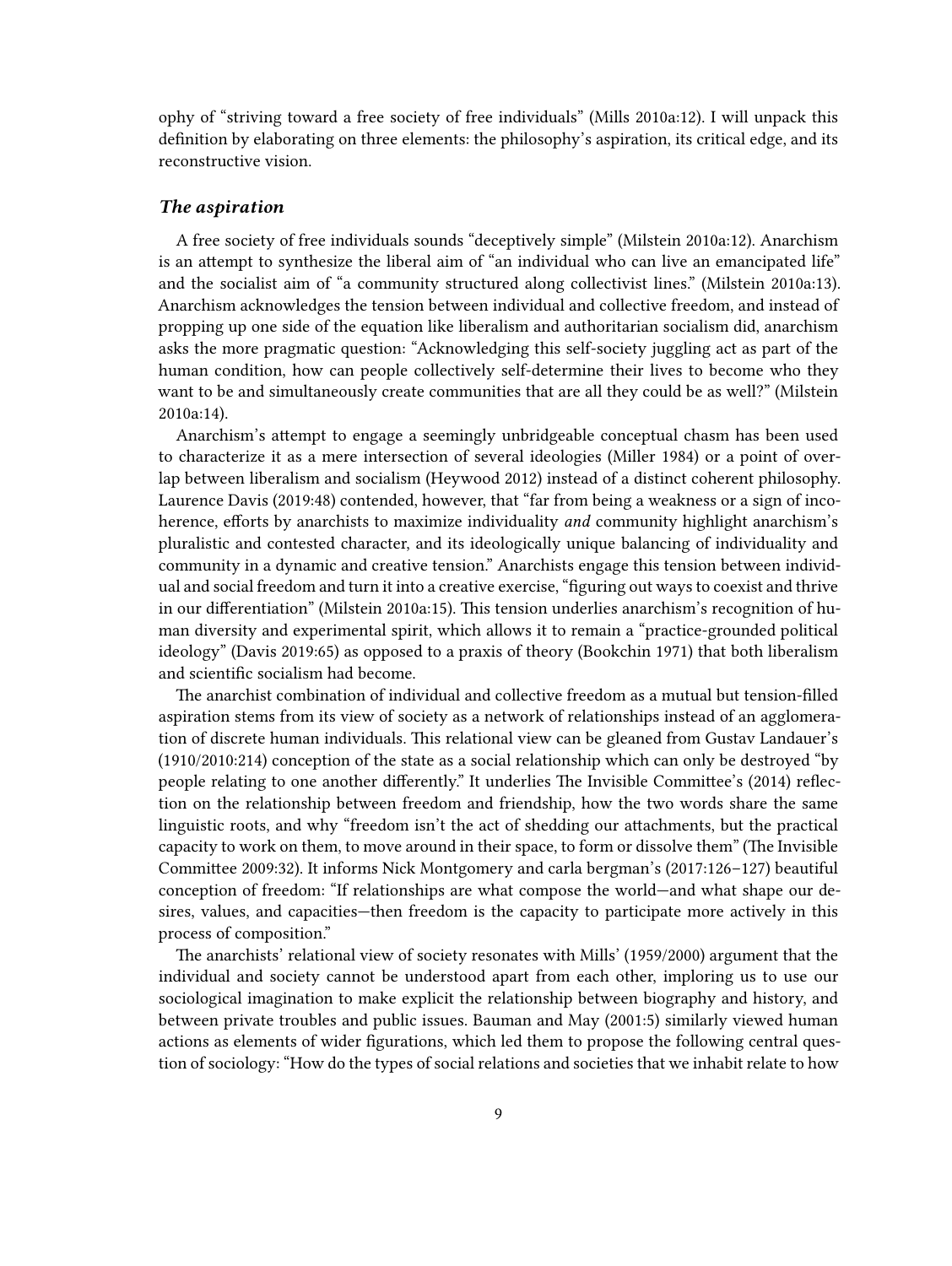ophy of "striving toward a free society of free individuals" (Mills 2010a:12). I will unpack this definition by elaborating on three elements: the philosophy's aspiration, its critical edge, and its reconstructive vision.

### <span id="page-8-0"></span>*The aspiration*

A free society of free individuals sounds "deceptively simple" (Milstein 2010a:12). Anarchism is an attempt to synthesize the liberal aim of "an individual who can live an emancipated life" and the socialist aim of "a community structured along collectivist lines." (Milstein 2010a:13). Anarchism acknowledges the tension between individual and collective freedom, and instead of propping up one side of the equation like liberalism and authoritarian socialism did, anarchism asks the more pragmatic question: "Acknowledging this self-society juggling act as part of the human condition, how can people collectively self-determine their lives to become who they want to be and simultaneously create communities that are all they could be as well?" (Milstein 2010a:14).

Anarchism's attempt to engage a seemingly unbridgeable conceptual chasm has been used to characterize it as a mere intersection of several ideologies (Miller 1984) or a point of overlap between liberalism and socialism (Heywood 2012) instead of a distinct coherent philosophy. Laurence Davis (2019:48) contended, however, that "far from being a weakness or a sign of incoherence, efforts by anarchists to maximize individuality *and* community highlight anarchism's pluralistic and contested character, and its ideologically unique balancing of individuality and community in a dynamic and creative tension." Anarchists engage this tension between individual and social freedom and turn it into a creative exercise, "figuring out ways to coexist and thrive in our differentiation" (Milstein 2010a:15). This tension underlies anarchism's recognition of human diversity and experimental spirit, which allows it to remain a "practice-grounded political ideology" (Davis 2019:65) as opposed to a praxis of theory (Bookchin 1971) that both liberalism and scientific socialism had become.

The anarchist combination of individual and collective freedom as a mutual but tension-filled aspiration stems from its view of society as a network of relationships instead of an agglomeration of discrete human individuals. This relational view can be gleaned from Gustav Landauer's (1910/2010:214) conception of the state as a social relationship which can only be destroyed "by people relating to one another differently." It underlies The Invisible Committee's (2014) reflection on the relationship between freedom and friendship, how the two words share the same linguistic roots, and why "freedom isn't the act of shedding our attachments, but the practical capacity to work on them, to move around in their space, to form or dissolve them" (The Invisible Committee 2009:32). It informs Nick Montgomery and carla bergman's (2017:126–127) beautiful conception of freedom: "If relationships are what compose the world—and what shape our desires, values, and capacities—then freedom is the capacity to participate more actively in this process of composition."

The anarchists' relational view of society resonates with Mills' (1959/2000) argument that the individual and society cannot be understood apart from each other, imploring us to use our sociological imagination to make explicit the relationship between biography and history, and between private troubles and public issues. Bauman and May (2001:5) similarly viewed human actions as elements of wider figurations, which led them to propose the following central question of sociology: "How do the types of social relations and societies that we inhabit relate to how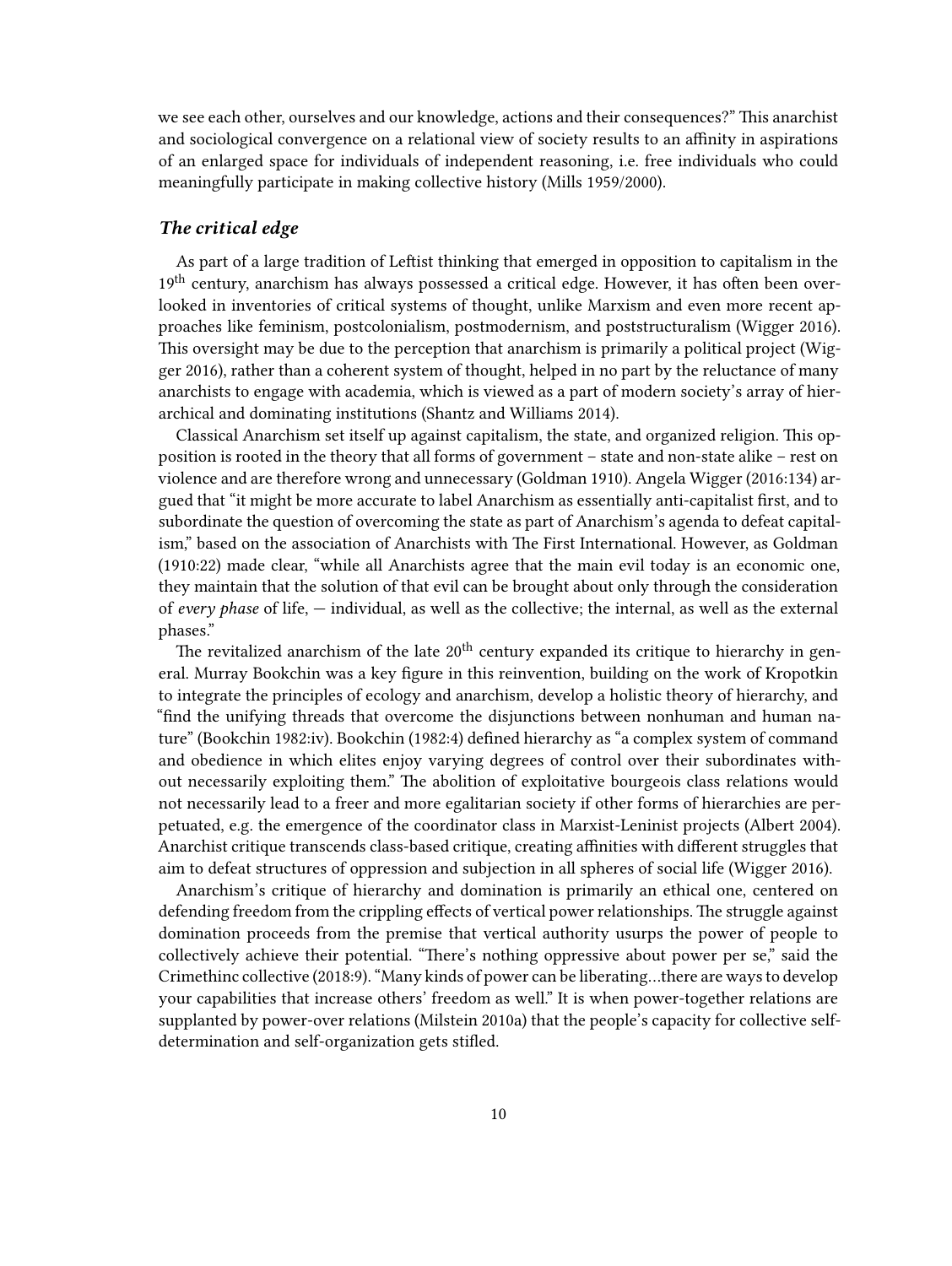we see each other, ourselves and our knowledge, actions and their consequences?" This anarchist and sociological convergence on a relational view of society results to an affinity in aspirations of an enlarged space for individuals of independent reasoning, i.e. free individuals who could meaningfully participate in making collective history (Mills 1959/2000).

## <span id="page-9-0"></span>*The critical edge*

As part of a large tradition of Leftist thinking that emerged in opposition to capitalism in the  $19<sup>th</sup>$  century, anarchism has always possessed a critical edge. However, it has often been overlooked in inventories of critical systems of thought, unlike Marxism and even more recent approaches like feminism, postcolonialism, postmodernism, and poststructuralism (Wigger 2016). This oversight may be due to the perception that anarchism is primarily a political project (Wigger 2016), rather than a coherent system of thought, helped in no part by the reluctance of many anarchists to engage with academia, which is viewed as a part of modern society's array of hierarchical and dominating institutions (Shantz and Williams 2014).

Classical Anarchism set itself up against capitalism, the state, and organized religion. This opposition is rooted in the theory that all forms of government – state and non-state alike – rest on violence and are therefore wrong and unnecessary (Goldman 1910). Angela Wigger (2016:134) argued that "it might be more accurate to label Anarchism as essentially anti-capitalist first, and to subordinate the question of overcoming the state as part of Anarchism's agenda to defeat capitalism," based on the association of Anarchists with The First International. However, as Goldman (1910:22) made clear, "while all Anarchists agree that the main evil today is an economic one, they maintain that the solution of that evil can be brought about only through the consideration of *every phase* of life, — individual, as well as the collective; the internal, as well as the external phases."

The revitalized anarchism of the late  $20<sup>th</sup>$  century expanded its critique to hierarchy in general. Murray Bookchin was a key figure in this reinvention, building on the work of Kropotkin to integrate the principles of ecology and anarchism, develop a holistic theory of hierarchy, and "find the unifying threads that overcome the disjunctions between nonhuman and human nature" (Bookchin 1982:iv). Bookchin (1982:4) defined hierarchy as "a complex system of command and obedience in which elites enjoy varying degrees of control over their subordinates without necessarily exploiting them." The abolition of exploitative bourgeois class relations would not necessarily lead to a freer and more egalitarian society if other forms of hierarchies are perpetuated, e.g. the emergence of the coordinator class in Marxist-Leninist projects (Albert 2004). Anarchist critique transcends class-based critique, creating affinities with different struggles that aim to defeat structures of oppression and subjection in all spheres of social life (Wigger 2016).

Anarchism's critique of hierarchy and domination is primarily an ethical one, centered on defending freedom from the crippling effects of vertical power relationships. The struggle against domination proceeds from the premise that vertical authority usurps the power of people to collectively achieve their potential. "There's nothing oppressive about power per se," said the Crimethinc collective (2018:9). "Many kinds of power can be liberating…there are ways to develop your capabilities that increase others' freedom as well." It is when power-together relations are supplanted by power-over relations (Milstein 2010a) that the people's capacity for collective selfdetermination and self-organization gets stifled.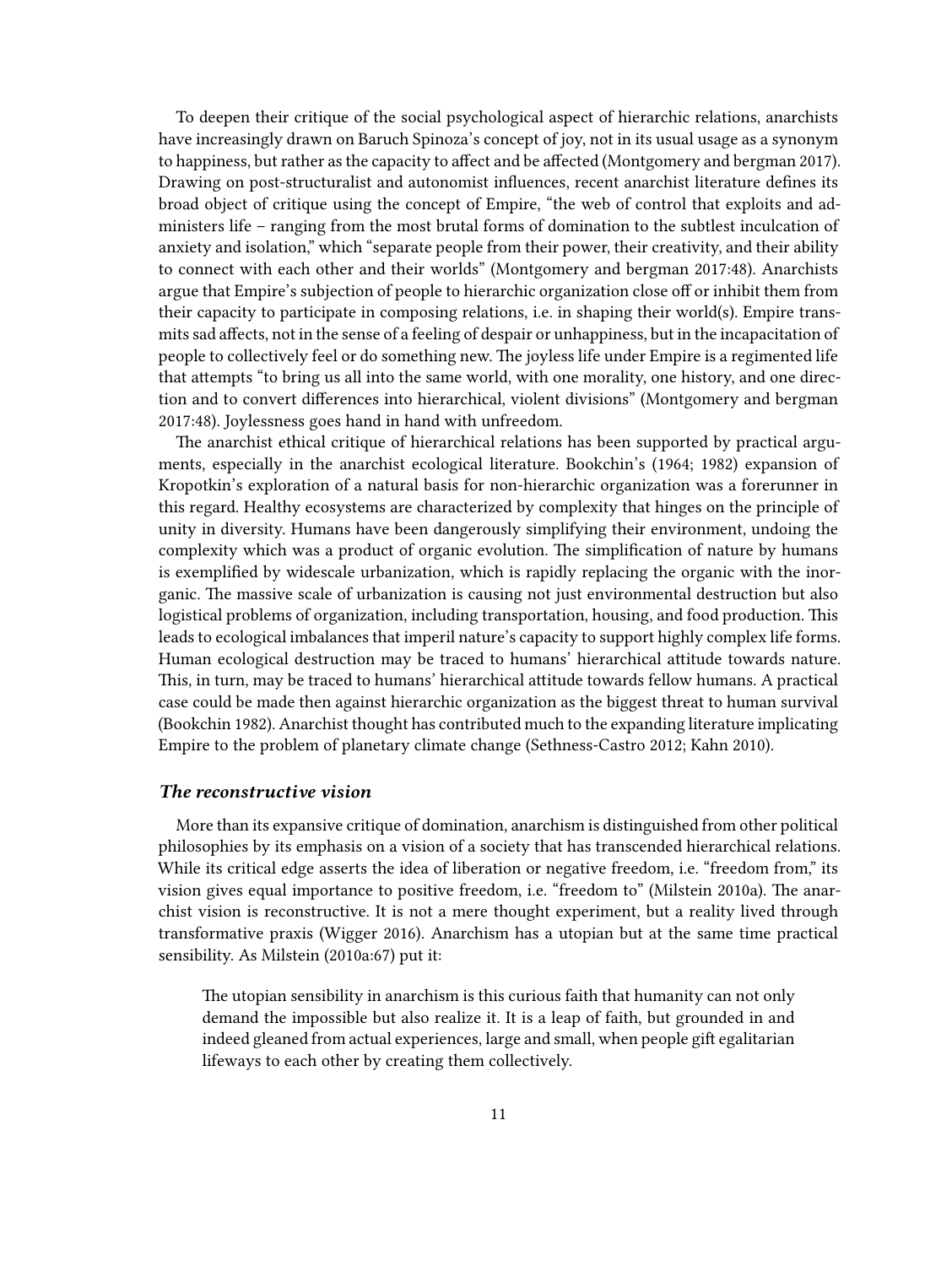To deepen their critique of the social psychological aspect of hierarchic relations, anarchists have increasingly drawn on Baruch Spinoza's concept of joy, not in its usual usage as a synonym to happiness, but rather as the capacity to affect and be affected (Montgomery and bergman 2017). Drawing on post-structuralist and autonomist influences, recent anarchist literature defines its broad object of critique using the concept of Empire, "the web of control that exploits and administers life – ranging from the most brutal forms of domination to the subtlest inculcation of anxiety and isolation," which "separate people from their power, their creativity, and their ability to connect with each other and their worlds" (Montgomery and bergman 2017:48). Anarchists argue that Empire's subjection of people to hierarchic organization close off or inhibit them from their capacity to participate in composing relations, i.e. in shaping their world(s). Empire transmits sad affects, not in the sense of a feeling of despair or unhappiness, but in the incapacitation of people to collectively feel or do something new. The joyless life under Empire is a regimented life that attempts "to bring us all into the same world, with one morality, one history, and one direction and to convert differences into hierarchical, violent divisions" (Montgomery and bergman 2017:48). Joylessness goes hand in hand with unfreedom.

The anarchist ethical critique of hierarchical relations has been supported by practical arguments, especially in the anarchist ecological literature. Bookchin's (1964; 1982) expansion of Kropotkin's exploration of a natural basis for non-hierarchic organization was a forerunner in this regard. Healthy ecosystems are characterized by complexity that hinges on the principle of unity in diversity. Humans have been dangerously simplifying their environment, undoing the complexity which was a product of organic evolution. The simplification of nature by humans is exemplified by widescale urbanization, which is rapidly replacing the organic with the inorganic. The massive scale of urbanization is causing not just environmental destruction but also logistical problems of organization, including transportation, housing, and food production. This leads to ecological imbalances that imperil nature's capacity to support highly complex life forms. Human ecological destruction may be traced to humans' hierarchical attitude towards nature. This, in turn, may be traced to humans' hierarchical attitude towards fellow humans. A practical case could be made then against hierarchic organization as the biggest threat to human survival (Bookchin 1982). Anarchist thought has contributed much to the expanding literature implicating Empire to the problem of planetary climate change (Sethness-Castro 2012; Kahn 2010).

### <span id="page-10-0"></span>*The reconstructive vision*

More than its expansive critique of domination, anarchism is distinguished from other political philosophies by its emphasis on a vision of a society that has transcended hierarchical relations. While its critical edge asserts the idea of liberation or negative freedom, i.e. "freedom from," its vision gives equal importance to positive freedom, i.e. "freedom to" (Milstein 2010a). The anarchist vision is reconstructive. It is not a mere thought experiment, but a reality lived through transformative praxis (Wigger 2016). Anarchism has a utopian but at the same time practical sensibility. As Milstein (2010a:67) put it:

The utopian sensibility in anarchism is this curious faith that humanity can not only demand the impossible but also realize it. It is a leap of faith, but grounded in and indeed gleaned from actual experiences, large and small, when people gift egalitarian lifeways to each other by creating them collectively.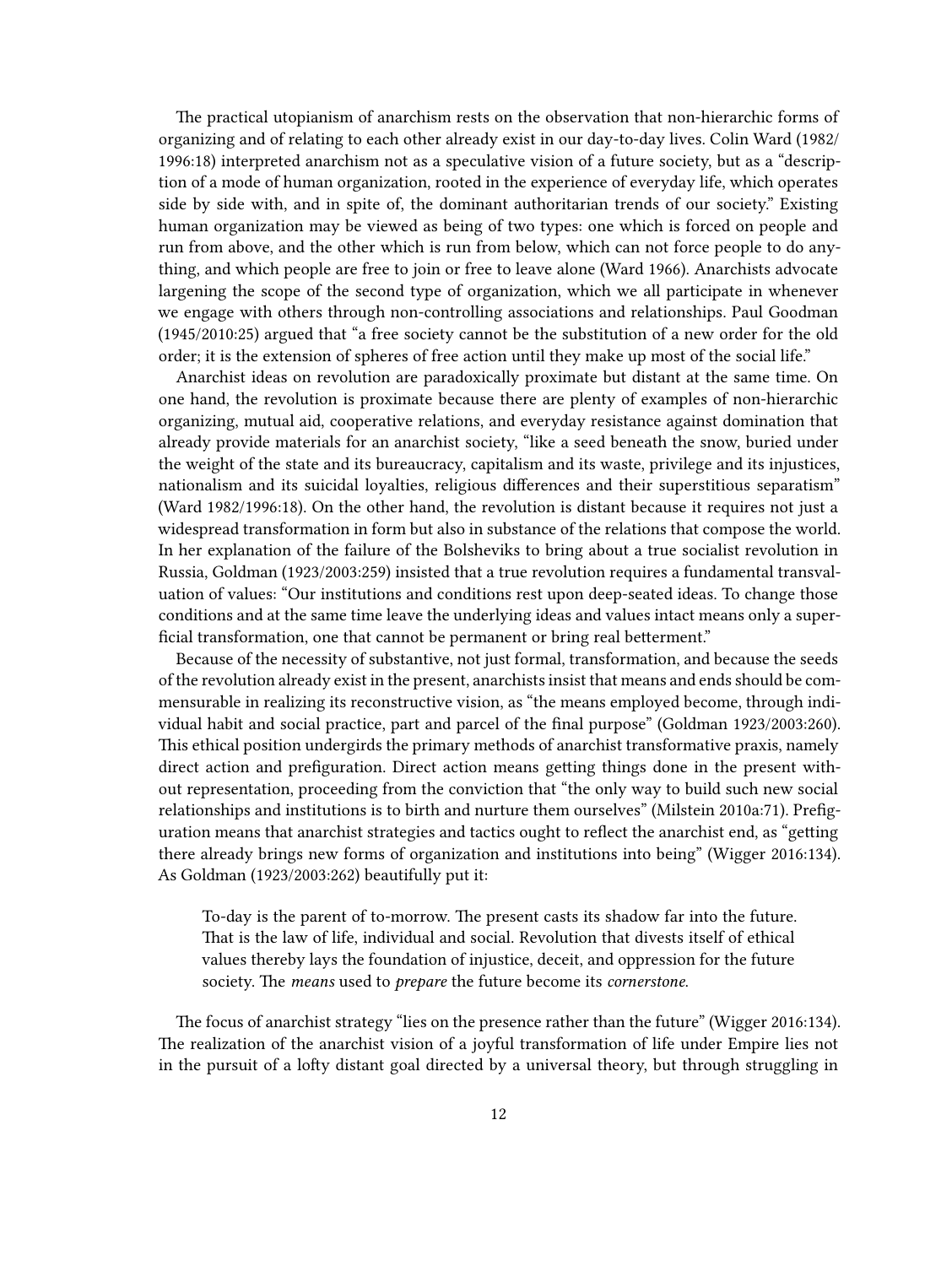The practical utopianism of anarchism rests on the observation that non-hierarchic forms of organizing and of relating to each other already exist in our day-to-day lives. Colin Ward (1982/ 1996:18) interpreted anarchism not as a speculative vision of a future society, but as a "description of a mode of human organization, rooted in the experience of everyday life, which operates side by side with, and in spite of, the dominant authoritarian trends of our society." Existing human organization may be viewed as being of two types: one which is forced on people and run from above, and the other which is run from below, which can not force people to do anything, and which people are free to join or free to leave alone (Ward 1966). Anarchists advocate largening the scope of the second type of organization, which we all participate in whenever we engage with others through non-controlling associations and relationships. Paul Goodman (1945/2010:25) argued that "a free society cannot be the substitution of a new order for the old order; it is the extension of spheres of free action until they make up most of the social life."

Anarchist ideas on revolution are paradoxically proximate but distant at the same time. On one hand, the revolution is proximate because there are plenty of examples of non-hierarchic organizing, mutual aid, cooperative relations, and everyday resistance against domination that already provide materials for an anarchist society, "like a seed beneath the snow, buried under the weight of the state and its bureaucracy, capitalism and its waste, privilege and its injustices, nationalism and its suicidal loyalties, religious differences and their superstitious separatism" (Ward 1982/1996:18). On the other hand, the revolution is distant because it requires not just a widespread transformation in form but also in substance of the relations that compose the world. In her explanation of the failure of the Bolsheviks to bring about a true socialist revolution in Russia, Goldman (1923/2003:259) insisted that a true revolution requires a fundamental transvaluation of values: "Our institutions and conditions rest upon deep-seated ideas. To change those conditions and at the same time leave the underlying ideas and values intact means only a superficial transformation, one that cannot be permanent or bring real betterment."

Because of the necessity of substantive, not just formal, transformation, and because the seeds of the revolution already exist in the present, anarchists insist that means and ends should be commensurable in realizing its reconstructive vision, as "the means employed become, through individual habit and social practice, part and parcel of the final purpose" (Goldman 1923/2003:260). This ethical position undergirds the primary methods of anarchist transformative praxis, namely direct action and prefiguration. Direct action means getting things done in the present without representation, proceeding from the conviction that "the only way to build such new social relationships and institutions is to birth and nurture them ourselves" (Milstein 2010a:71). Prefiguration means that anarchist strategies and tactics ought to reflect the anarchist end, as "getting there already brings new forms of organization and institutions into being" (Wigger 2016:134). As Goldman (1923/2003:262) beautifully put it:

To-day is the parent of to-morrow. The present casts its shadow far into the future. That is the law of life, individual and social. Revolution that divests itself of ethical values thereby lays the foundation of injustice, deceit, and oppression for the future society. The *means* used to *prepare* the future become its *cornerstone*.

The focus of anarchist strategy "lies on the presence rather than the future" (Wigger 2016:134). The realization of the anarchist vision of a joyful transformation of life under Empire lies not in the pursuit of a lofty distant goal directed by a universal theory, but through struggling in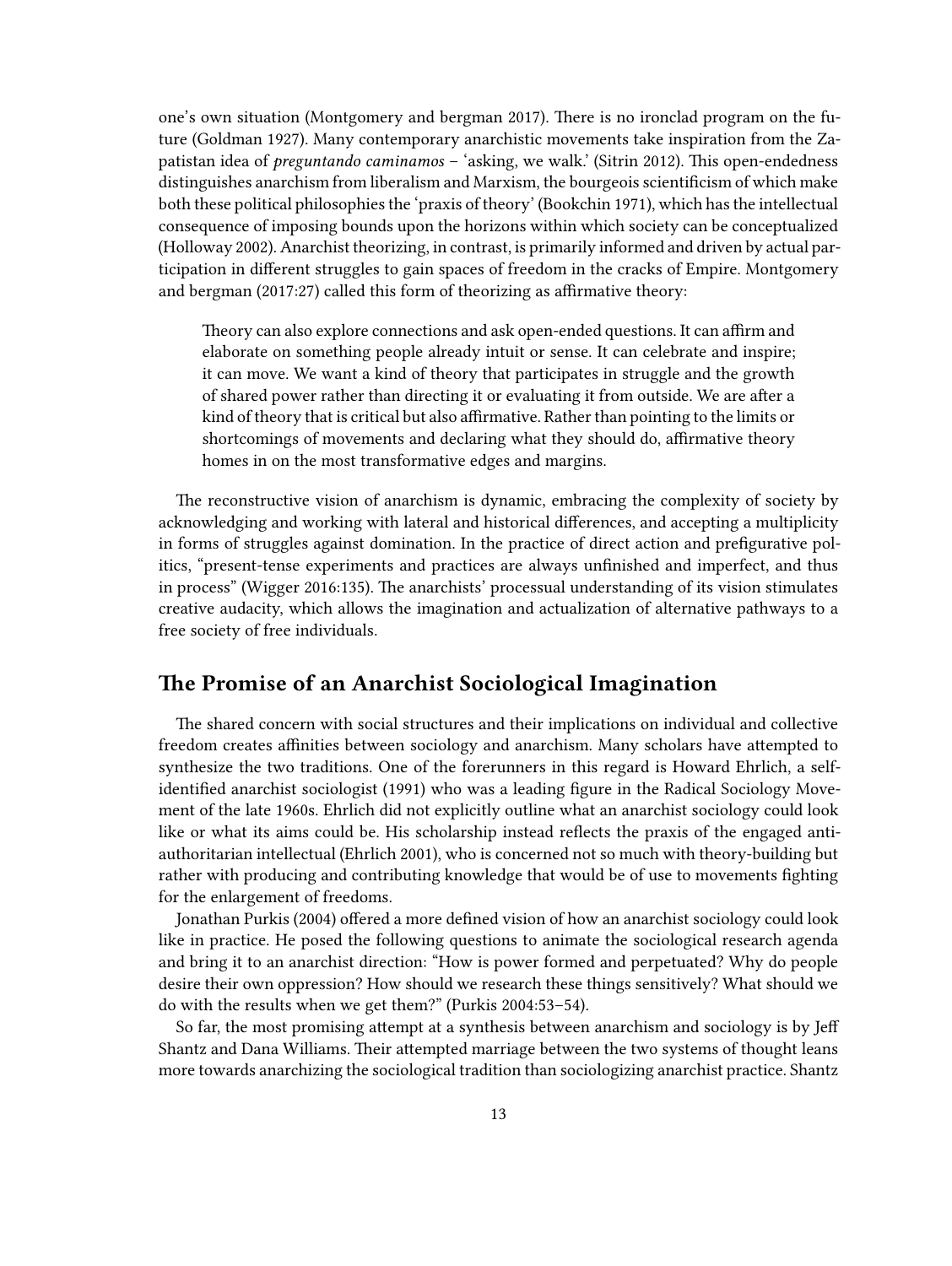one's own situation (Montgomery and bergman 2017). There is no ironclad program on the future (Goldman 1927). Many contemporary anarchistic movements take inspiration from the Zapatistan idea of *preguntando caminamos* – 'asking, we walk.' (Sitrin 2012). This open-endedness distinguishes anarchism from liberalism and Marxism, the bourgeois scientificism of which make both these political philosophies the 'praxis of theory' (Bookchin 1971), which has the intellectual consequence of imposing bounds upon the horizons within which society can be conceptualized (Holloway 2002). Anarchist theorizing, in contrast, is primarily informed and driven by actual participation in different struggles to gain spaces of freedom in the cracks of Empire. Montgomery and bergman (2017:27) called this form of theorizing as affirmative theory:

Theory can also explore connections and ask open-ended questions. It can affirm and elaborate on something people already intuit or sense. It can celebrate and inspire; it can move. We want a kind of theory that participates in struggle and the growth of shared power rather than directing it or evaluating it from outside. We are after a kind of theory that is critical but also affirmative. Rather than pointing to the limits or shortcomings of movements and declaring what they should do, affirmative theory homes in on the most transformative edges and margins.

The reconstructive vision of anarchism is dynamic, embracing the complexity of society by acknowledging and working with lateral and historical differences, and accepting a multiplicity in forms of struggles against domination. In the practice of direct action and prefigurative politics, "present-tense experiments and practices are always unfinished and imperfect, and thus in process" (Wigger 2016:135). The anarchists' processual understanding of its vision stimulates creative audacity, which allows the imagination and actualization of alternative pathways to a free society of free individuals.

# <span id="page-12-0"></span>**The Promise of an Anarchist Sociological Imagination**

The shared concern with social structures and their implications on individual and collective freedom creates affinities between sociology and anarchism. Many scholars have attempted to synthesize the two traditions. One of the forerunners in this regard is Howard Ehrlich, a selfidentified anarchist sociologist (1991) who was a leading figure in the Radical Sociology Movement of the late 1960s. Ehrlich did not explicitly outline what an anarchist sociology could look like or what its aims could be. His scholarship instead reflects the praxis of the engaged antiauthoritarian intellectual (Ehrlich 2001), who is concerned not so much with theory-building but rather with producing and contributing knowledge that would be of use to movements fighting for the enlargement of freedoms.

Jonathan Purkis (2004) offered a more defined vision of how an anarchist sociology could look like in practice. He posed the following questions to animate the sociological research agenda and bring it to an anarchist direction: "How is power formed and perpetuated? Why do people desire their own oppression? How should we research these things sensitively? What should we do with the results when we get them?" (Purkis 2004:53–54).

So far, the most promising attempt at a synthesis between anarchism and sociology is by Jeff Shantz and Dana Williams. Their attempted marriage between the two systems of thought leans more towards anarchizing the sociological tradition than sociologizing anarchist practice. Shantz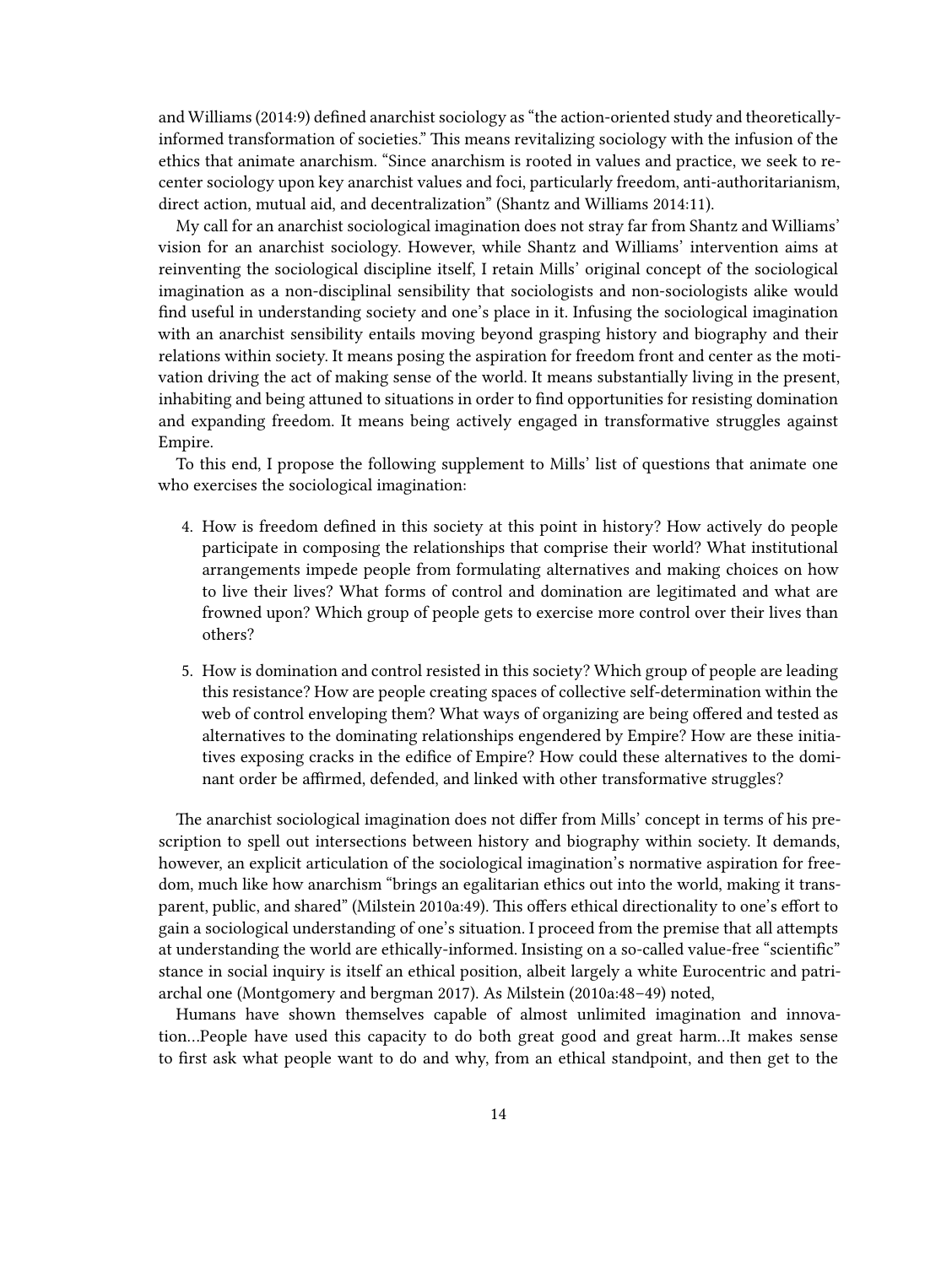and Williams (2014:9) defined anarchist sociology as "the action-oriented study and theoreticallyinformed transformation of societies." This means revitalizing sociology with the infusion of the ethics that animate anarchism. "Since anarchism is rooted in values and practice, we seek to recenter sociology upon key anarchist values and foci, particularly freedom, anti-authoritarianism, direct action, mutual aid, and decentralization" (Shantz and Williams 2014:11).

My call for an anarchist sociological imagination does not stray far from Shantz and Williams' vision for an anarchist sociology. However, while Shantz and Williams' intervention aims at reinventing the sociological discipline itself, I retain Mills' original concept of the sociological imagination as a non-disciplinal sensibility that sociologists and non-sociologists alike would find useful in understanding society and one's place in it. Infusing the sociological imagination with an anarchist sensibility entails moving beyond grasping history and biography and their relations within society. It means posing the aspiration for freedom front and center as the motivation driving the act of making sense of the world. It means substantially living in the present, inhabiting and being attuned to situations in order to find opportunities for resisting domination and expanding freedom. It means being actively engaged in transformative struggles against Empire.

To this end, I propose the following supplement to Mills' list of questions that animate one who exercises the sociological imagination:

- 4. How is freedom defined in this society at this point in history? How actively do people participate in composing the relationships that comprise their world? What institutional arrangements impede people from formulating alternatives and making choices on how to live their lives? What forms of control and domination are legitimated and what are frowned upon? Which group of people gets to exercise more control over their lives than others?
- 5. How is domination and control resisted in this society? Which group of people are leading this resistance? How are people creating spaces of collective self-determination within the web of control enveloping them? What ways of organizing are being offered and tested as alternatives to the dominating relationships engendered by Empire? How are these initiatives exposing cracks in the edifice of Empire? How could these alternatives to the dominant order be affirmed, defended, and linked with other transformative struggles?

The anarchist sociological imagination does not differ from Mills' concept in terms of his prescription to spell out intersections between history and biography within society. It demands, however, an explicit articulation of the sociological imagination's normative aspiration for freedom, much like how anarchism "brings an egalitarian ethics out into the world, making it transparent, public, and shared" (Milstein 2010a:49). This offers ethical directionality to one's effort to gain a sociological understanding of one's situation. I proceed from the premise that all attempts at understanding the world are ethically-informed. Insisting on a so-called value-free "scientific" stance in social inquiry is itself an ethical position, albeit largely a white Eurocentric and patriarchal one (Montgomery and bergman 2017). As Milstein (2010a:48–49) noted,

Humans have shown themselves capable of almost unlimited imagination and innovation…People have used this capacity to do both great good and great harm…It makes sense to first ask what people want to do and why, from an ethical standpoint, and then get to the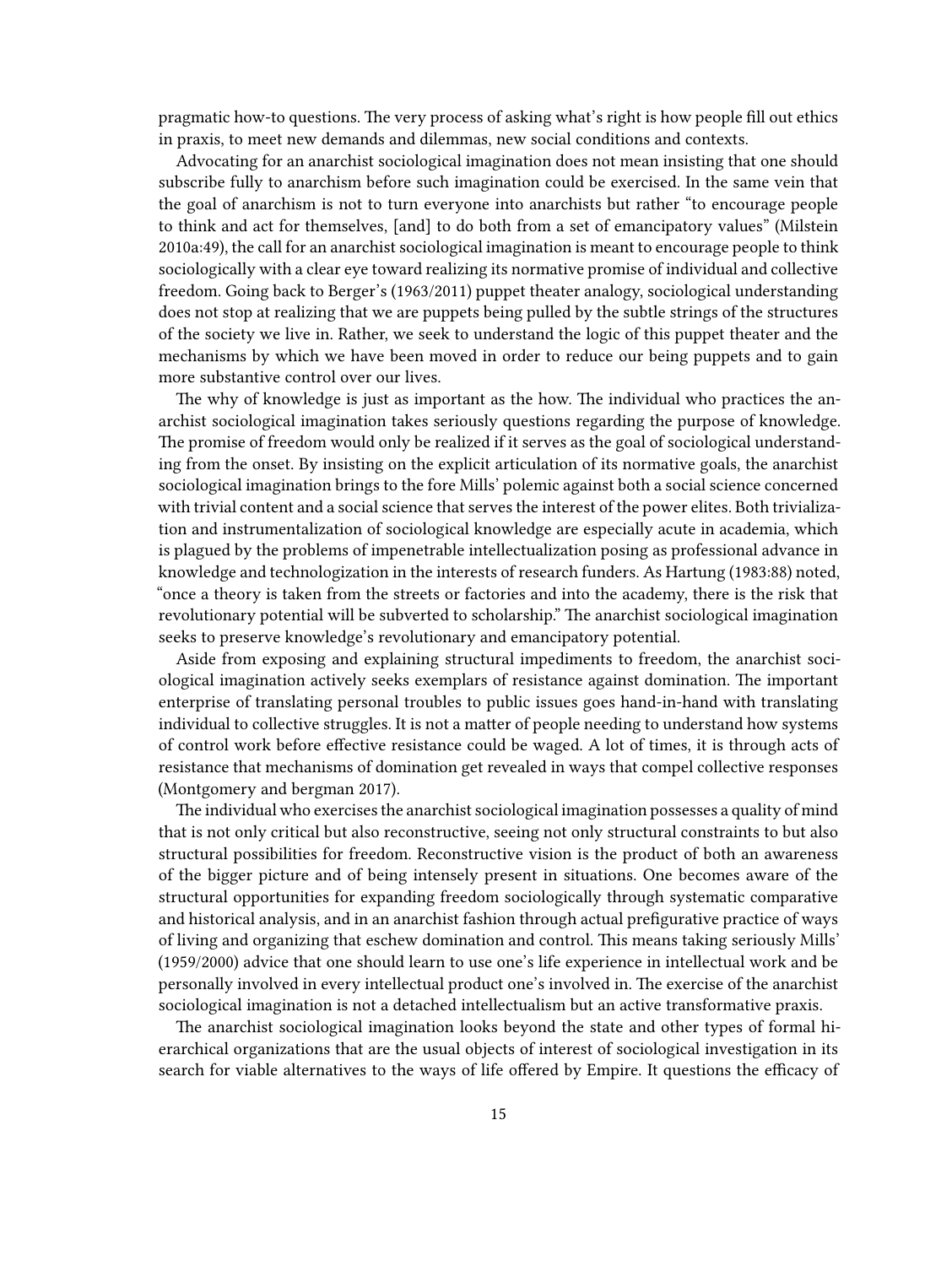pragmatic how-to questions. The very process of asking what's right is how people fill out ethics in praxis, to meet new demands and dilemmas, new social conditions and contexts.

Advocating for an anarchist sociological imagination does not mean insisting that one should subscribe fully to anarchism before such imagination could be exercised. In the same vein that the goal of anarchism is not to turn everyone into anarchists but rather "to encourage people to think and act for themselves, [and] to do both from a set of emancipatory values" (Milstein 2010a:49), the call for an anarchist sociological imagination is meant to encourage people to think sociologically with a clear eye toward realizing its normative promise of individual and collective freedom. Going back to Berger's (1963/2011) puppet theater analogy, sociological understanding does not stop at realizing that we are puppets being pulled by the subtle strings of the structures of the society we live in. Rather, we seek to understand the logic of this puppet theater and the mechanisms by which we have been moved in order to reduce our being puppets and to gain more substantive control over our lives.

The why of knowledge is just as important as the how. The individual who practices the anarchist sociological imagination takes seriously questions regarding the purpose of knowledge. The promise of freedom would only be realized if it serves as the goal of sociological understanding from the onset. By insisting on the explicit articulation of its normative goals, the anarchist sociological imagination brings to the fore Mills' polemic against both a social science concerned with trivial content and a social science that serves the interest of the power elites. Both trivialization and instrumentalization of sociological knowledge are especially acute in academia, which is plagued by the problems of impenetrable intellectualization posing as professional advance in knowledge and technologization in the interests of research funders. As Hartung (1983:88) noted, "once a theory is taken from the streets or factories and into the academy, there is the risk that revolutionary potential will be subverted to scholarship." The anarchist sociological imagination seeks to preserve knowledge's revolutionary and emancipatory potential.

Aside from exposing and explaining structural impediments to freedom, the anarchist sociological imagination actively seeks exemplars of resistance against domination. The important enterprise of translating personal troubles to public issues goes hand-in-hand with translating individual to collective struggles. It is not a matter of people needing to understand how systems of control work before effective resistance could be waged. A lot of times, it is through acts of resistance that mechanisms of domination get revealed in ways that compel collective responses (Montgomery and bergman 2017).

The individual who exercises the anarchist sociological imagination possesses a quality of mind that is not only critical but also reconstructive, seeing not only structural constraints to but also structural possibilities for freedom. Reconstructive vision is the product of both an awareness of the bigger picture and of being intensely present in situations. One becomes aware of the structural opportunities for expanding freedom sociologically through systematic comparative and historical analysis, and in an anarchist fashion through actual prefigurative practice of ways of living and organizing that eschew domination and control. This means taking seriously Mills' (1959/2000) advice that one should learn to use one's life experience in intellectual work and be personally involved in every intellectual product one's involved in. The exercise of the anarchist sociological imagination is not a detached intellectualism but an active transformative praxis.

The anarchist sociological imagination looks beyond the state and other types of formal hierarchical organizations that are the usual objects of interest of sociological investigation in its search for viable alternatives to the ways of life offered by Empire. It questions the efficacy of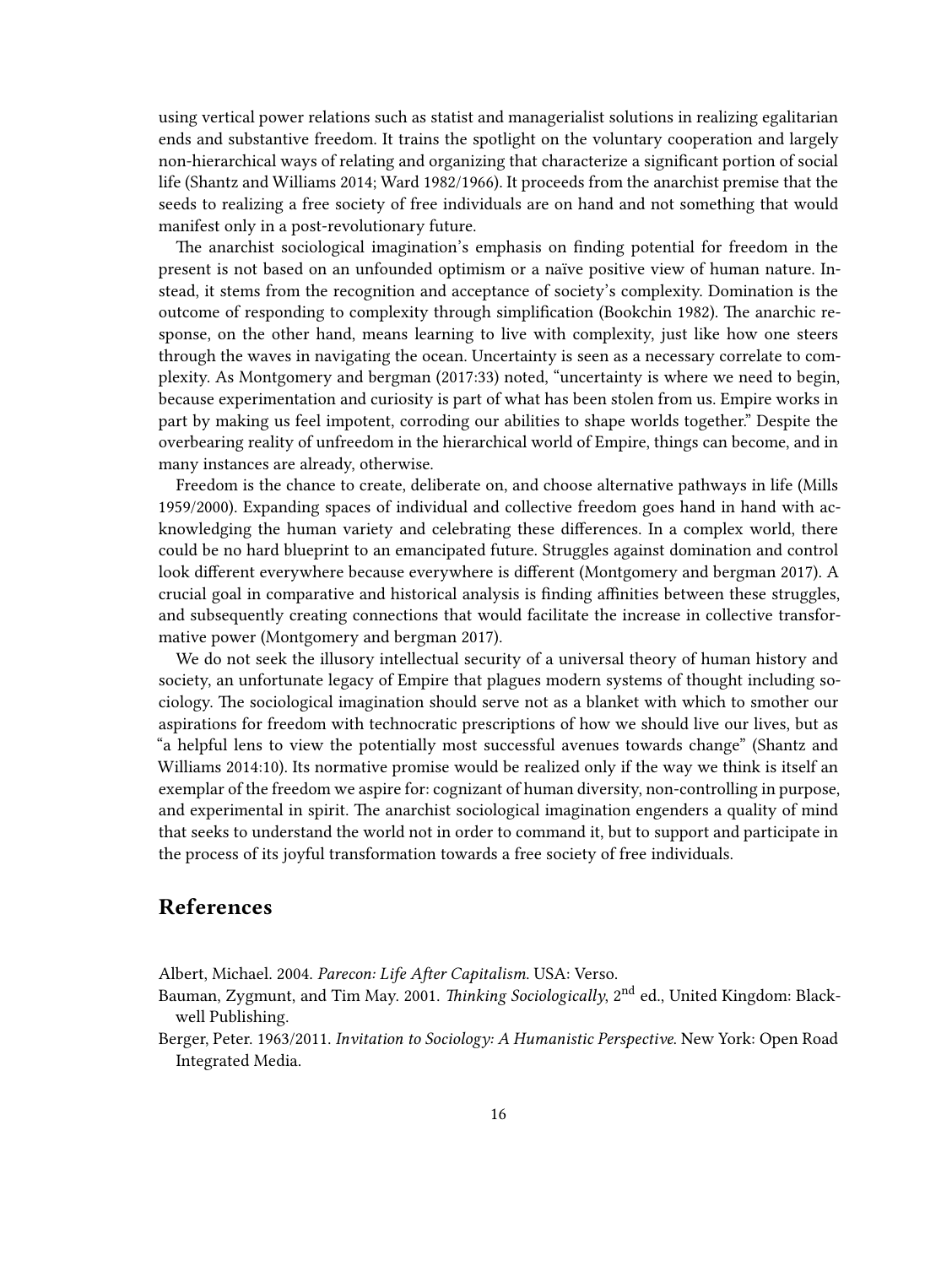using vertical power relations such as statist and managerialist solutions in realizing egalitarian ends and substantive freedom. It trains the spotlight on the voluntary cooperation and largely non-hierarchical ways of relating and organizing that characterize a significant portion of social life (Shantz and Williams 2014; Ward 1982/1966). It proceeds from the anarchist premise that the seeds to realizing a free society of free individuals are on hand and not something that would manifest only in a post-revolutionary future.

The anarchist sociological imagination's emphasis on finding potential for freedom in the present is not based on an unfounded optimism or a naïve positive view of human nature. Instead, it stems from the recognition and acceptance of society's complexity. Domination is the outcome of responding to complexity through simplification (Bookchin 1982). The anarchic response, on the other hand, means learning to live with complexity, just like how one steers through the waves in navigating the ocean. Uncertainty is seen as a necessary correlate to complexity. As Montgomery and bergman (2017:33) noted, "uncertainty is where we need to begin, because experimentation and curiosity is part of what has been stolen from us. Empire works in part by making us feel impotent, corroding our abilities to shape worlds together." Despite the overbearing reality of unfreedom in the hierarchical world of Empire, things can become, and in many instances are already, otherwise.

Freedom is the chance to create, deliberate on, and choose alternative pathways in life (Mills 1959/2000). Expanding spaces of individual and collective freedom goes hand in hand with acknowledging the human variety and celebrating these differences. In a complex world, there could be no hard blueprint to an emancipated future. Struggles against domination and control look different everywhere because everywhere is different (Montgomery and bergman 2017). A crucial goal in comparative and historical analysis is finding affinities between these struggles, and subsequently creating connections that would facilitate the increase in collective transformative power (Montgomery and bergman 2017).

We do not seek the illusory intellectual security of a universal theory of human history and society, an unfortunate legacy of Empire that plagues modern systems of thought including sociology. The sociological imagination should serve not as a blanket with which to smother our aspirations for freedom with technocratic prescriptions of how we should live our lives, but as "a helpful lens to view the potentially most successful avenues towards change" (Shantz and Williams 2014:10). Its normative promise would be realized only if the way we think is itself an exemplar of the freedom we aspire for: cognizant of human diversity, non-controlling in purpose, and experimental in spirit. The anarchist sociological imagination engenders a quality of mind that seeks to understand the world not in order to command it, but to support and participate in the process of its joyful transformation towards a free society of free individuals.

## <span id="page-15-0"></span>**References**

Albert, Michael. 2004. *Parecon: Life After Capitalism*. USA: Verso.

Bauman, Zygmunt, and Tim May. 2001. *Thinking Sociologically*, 2<sup>nd</sup> ed., United Kingdom: Blackwell Publishing.

Berger, Peter. 1963/2011. *Invitation to Sociology: A Humanistic Perspective*. New York: Open Road Integrated Media.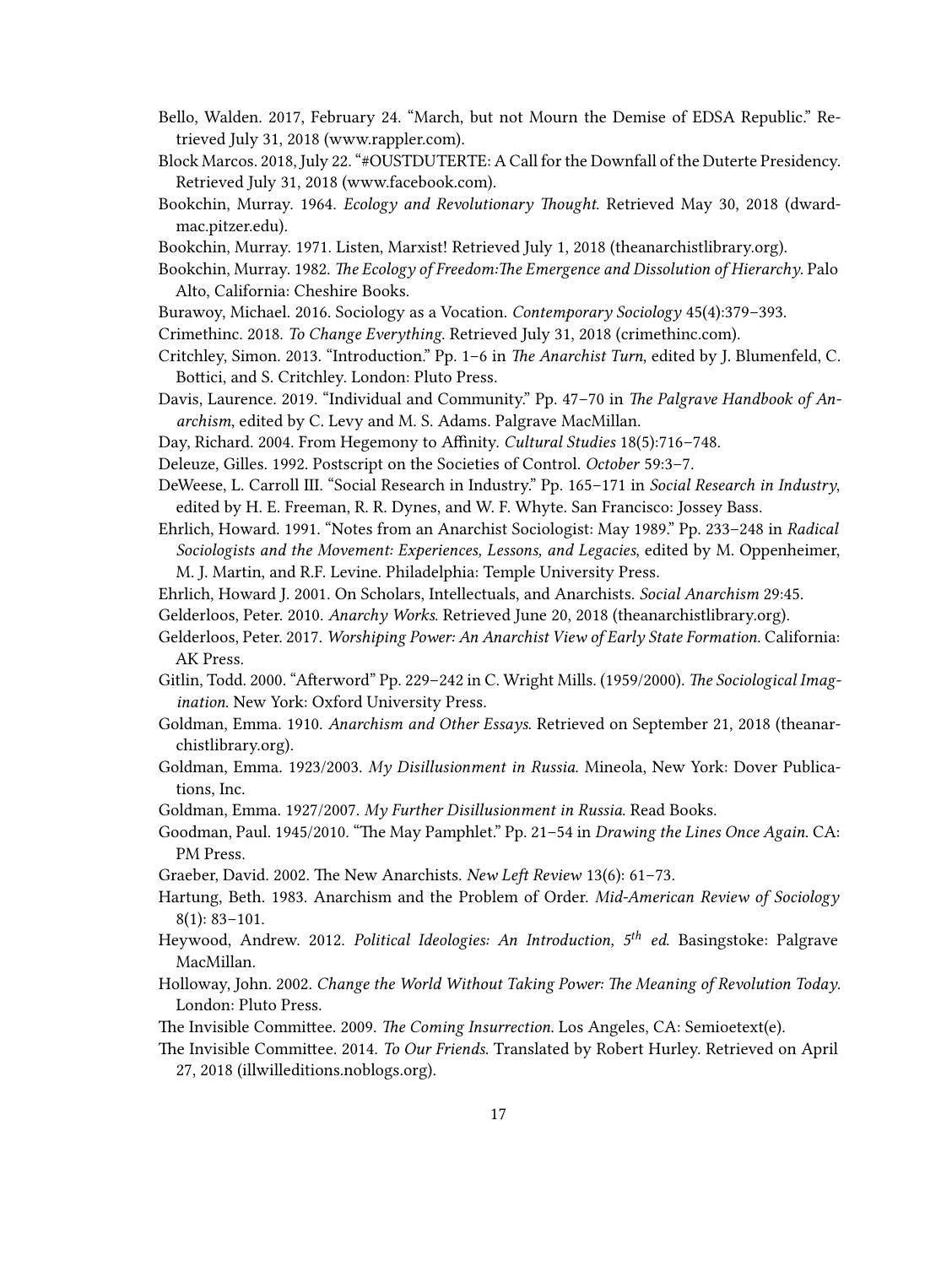- Bello, Walden. 2017, February 24. "March, but not Mourn the Demise of EDSA Republic." Retrieved July 31, 2018([www.rappler.com](https://www.rappler.com/thought-leaders/162359-march-mourn-not-the-demise-edsa-republic)).
- Block Marcos. 2018, July 22. "#OUSTDUTERTE: A Call for the Downfall of the Duterte Presidency. Retrieved July 31, 2018 [\(www.facebook.com](https://www.facebook.com/BlockMarcosNow/photos/a.140888889720365/464960860646498)).
- Bookchin, Murray. 1964. *Ecology and Revolutionary Thought*. Retrieved May 30, 2018 [\(dward](http://dwardmac.pitzer.edu/anarchist_archives/bookchin/ecologyandrev.html)[mac.pitzer.edu](http://dwardmac.pitzer.edu/anarchist_archives/bookchin/ecologyandrev.html)).
- Bookchin, Murray. 1971. Listen, Marxist! Retrieved July 1, 2018([theanarchistlibrary.org](https://theanarchistlibrary.org/library/murray-bookchin-listen-marxist)).
- Bookchin, Murray. 1982. *The Ecology of Freedom:The Emergence and Dissolution of Hierarchy*. Palo Alto, California: Cheshire Books.
- Burawoy, Michael. 2016. Sociology as a Vocation. *Contemporary Sociology* 45(4):379–393.
- Crimethinc. 2018. *To Change Everything*. Retrieved July 31, 2018([crimethinc.com\)](https://crimethinc.com/zines/to-change-everything).
- Critchley, Simon. 2013. "Introduction." Pp. 1–6 in *The Anarchist Turn*, edited by J. Blumenfeld, C. Bottici, and S. Critchley. London: Pluto Press.
- Davis, Laurence. 2019. "Individual and Community." Pp. 47–70 in *The Palgrave Handbook of Anarchism*, edited by C. Levy and M. S. Adams. Palgrave MacMillan.
- Day, Richard. 2004. From Hegemony to Affinity. *Cultural Studies* 18(5):716–748.
- Deleuze, Gilles. 1992. Postscript on the Societies of Control. *October* 59:3–7.
- DeWeese, L. Carroll III. "Social Research in Industry." Pp. 165–171 in *Social Research in Industry*, edited by H. E. Freeman, R. R. Dynes, and W. F. Whyte. San Francisco: Jossey Bass.
- Ehrlich, Howard. 1991. "Notes from an Anarchist Sociologist: May 1989." Pp. 233–248 in *Radical Sociologists and the Movement: Experiences, Lessons, and Legacies*, edited by M. Oppenheimer, M. J. Martin, and R.F. Levine. Philadelphia: Temple University Press.
- Ehrlich, Howard J. 2001. On Scholars, Intellectuals, and Anarchists. *Social Anarchism* 29:45.
- Gelderloos, Peter. 2010. *Anarchy Works*. Retrieved June 20, 2018([theanarchistlibrary.org\)](https://theanarchistlibrary.org/library/peter-gelderloos-anarchy-works).
- Gelderloos, Peter. 2017. *Worshiping Power: An Anarchist View of Early State Formation*. California: AK Press.
- Gitlin, Todd. 2000. "Afterword" Pp. 229–242 in C. Wright Mills. (1959/2000). *The Sociological Imagination*. New York: Oxford University Press.
- Goldman, Emma. 1910. *Anarchism and Other Essays*. Retrieved on September 21, 2018 [\(theanar](https://theanarchistlibrary.org/library/emma-goldman-anarchism-and-other-essays)[chistlibrary.org](https://theanarchistlibrary.org/library/emma-goldman-anarchism-and-other-essays)).
- Goldman, Emma. 1923/2003. *My Disillusionment in Russia*. Mineola, New York: Dover Publications, Inc.
- Goldman, Emma. 1927/2007. *My Further Disillusionment in Russia*. Read Books.
- Goodman, Paul. 1945/2010. "The May Pamphlet." Pp. 21–54 in *Drawing the Lines Once Again*. CA: PM Press.
- Graeber, David. 2002. The New Anarchists. *New Left Review* 13(6): 61–73.
- Hartung, Beth. 1983. Anarchism and the Problem of Order. *Mid-American Review of Sociology* 8(1): 83–101.
- Heywood, Andrew. 2012. *Political Ideologies: An Introduction, 5th ed*. Basingstoke: Palgrave MacMillan.
- Holloway, John. 2002. *Change the World Without Taking Power: The Meaning of Revolution Today*. London: Pluto Press.
- The Invisible Committee. 2009. *The Coming Insurrection*. Los Angeles, CA: Semioetext(e).
- The Invisible Committee. 2014. *To Our Friends*. Translated by Robert Hurley. Retrieved on April 27, 2018([illwilleditions.noblogs.org](https://illwilleditions.noblogs.org/files/2015/09/Invisible-Committee-To-Our-Friends-IWE-final-Read.pdf)).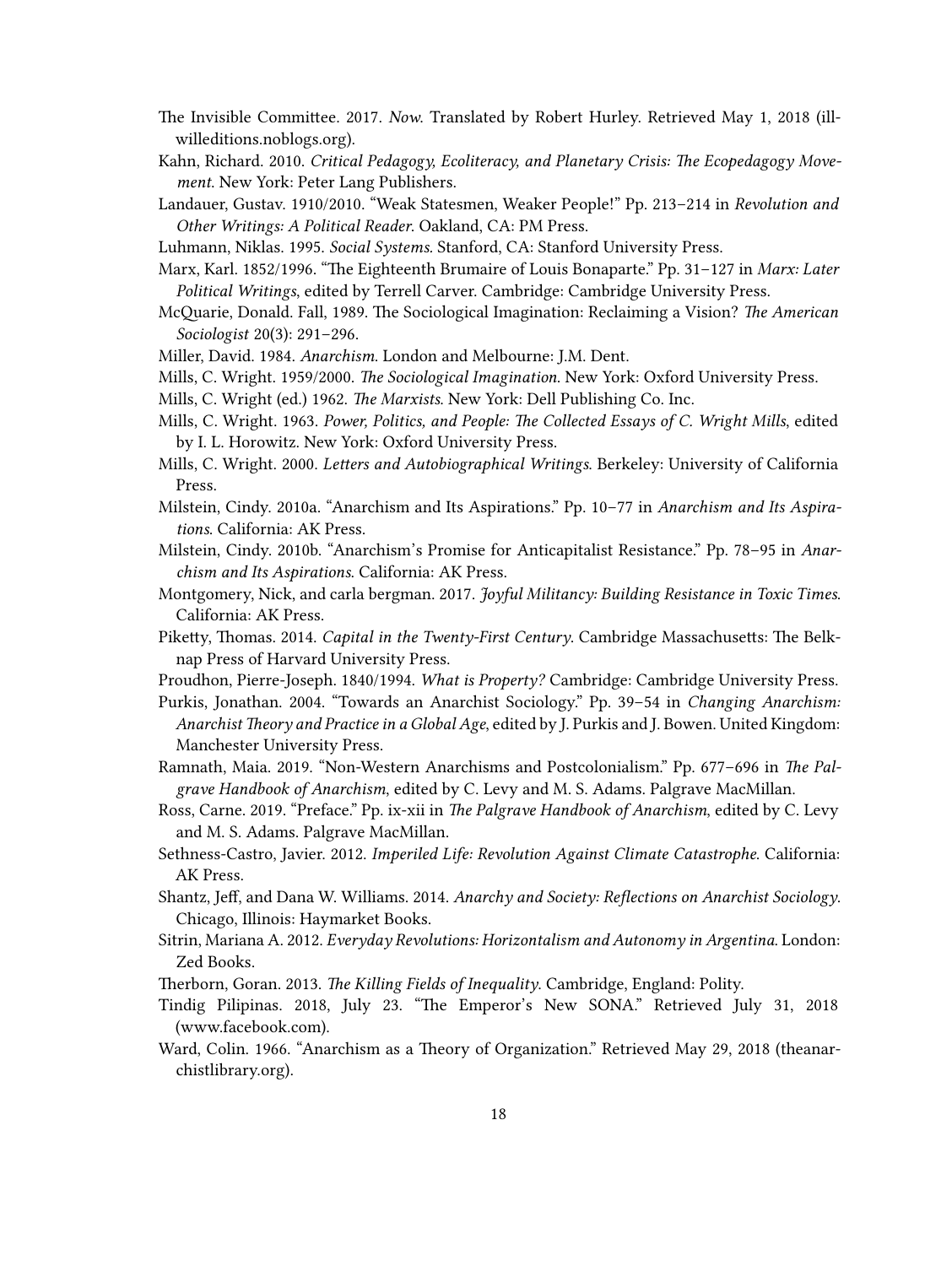- The Invisible Committee. 2017. *Now*. Translated by Robert Hurley. Retrieved May 1, 2018([ill](https://illwilleditions.noblogs.org/files/2018/02/Invisible-Committee-NOW-READ.pdf)[willeditions.noblogs.org\)](https://illwilleditions.noblogs.org/files/2018/02/Invisible-Committee-NOW-READ.pdf).
- Kahn, Richard. 2010. *Critical Pedagogy, Ecoliteracy, and Planetary Crisis: The Ecopedagogy Movement*. New York: Peter Lang Publishers.
- Landauer, Gustav. 1910/2010. "Weak Statesmen, Weaker People!" Pp. 213–214 in *Revolution and Other Writings: A Political Reader*. Oakland, CA: PM Press.

Luhmann, Niklas. 1995. *Social Systems.* Stanford, CA: Stanford University Press.

Marx, Karl. 1852/1996. "The Eighteenth Brumaire of Louis Bonaparte." Pp. 31–127 in *Marx: Later Political Writings*, edited by Terrell Carver. Cambridge: Cambridge University Press.

- McQuarie, Donald. Fall, 1989. The Sociological Imagination: Reclaiming a Vision? *The American Sociologist* 20(3): 291–296.
- Miller, David. 1984. *Anarchism*. London and Melbourne: J.M. Dent.
- Mills, C. Wright. 1959/2000. *The Sociological Imagination*. New York: Oxford University Press.
- Mills, C. Wright (ed.) 1962. *The Marxists*. New York: Dell Publishing Co. Inc.
- Mills, C. Wright. 1963. *Power, Politics, and People: The Collected Essays of C. Wright Mills*, edited by I. L. Horowitz. New York: Oxford University Press.
- Mills, C. Wright. 2000. *Letters and Autobiographical Writings*. Berkeley: University of California Press.
- Milstein, Cindy. 2010a. "Anarchism and Its Aspirations." Pp. 10–77 in *Anarchism and Its Aspirations*. California: AK Press.
- Milstein, Cindy. 2010b. "Anarchism's Promise for Anticapitalist Resistance." Pp. 78–95 in *Anarchism and Its Aspirations*. California: AK Press.
- Montgomery, Nick, and carla bergman. 2017. *Joyful Militancy: Building Resistance in Toxic Times*. California: AK Press.
- Piketty, Thomas. 2014. *Capital in the Twenty-First Century*. Cambridge Massachusetts: The Belknap Press of Harvard University Press.
- Proudhon, Pierre-Joseph. 1840/1994. *What is Property?* Cambridge: Cambridge University Press.

Purkis, Jonathan. 2004. "Towards an Anarchist Sociology." Pp. 39–54 in *Changing Anarchism: Anarchist Theory and Practice in a Global Age*, edited by J. Purkis and J. Bowen. United Kingdom: Manchester University Press.

- Ramnath, Maia. 2019. "Non-Western Anarchisms and Postcolonialism." Pp. 677–696 in *The Palgrave Handbook of Anarchism*, edited by C. Levy and M. S. Adams. Palgrave MacMillan.
- Ross, Carne. 2019. "Preface." Pp. ix-xii in *The Palgrave Handbook of Anarchism*, edited by C. Levy and M. S. Adams. Palgrave MacMillan.
- Sethness-Castro, Javier. 2012. *Imperiled Life: Revolution Against Climate Catastrophe*. California: AK Press.
- Shantz, Jeff, and Dana W. Williams. 2014. *Anarchy and Society: Reflections on Anarchist Sociology*. Chicago, Illinois: Haymarket Books.
- Sitrin, Mariana A. 2012. *Everyday Revolutions: Horizontalism and Autonomy in Argentina*. London: Zed Books.
- Therborn, Goran. 2013. *The Killing Fields of Inequality*. Cambridge, England: Polity.
- Tindig Pilipinas. 2018, July 23. "The Emperor's New SONA." Retrieved July 31, 2018 [\(www.facebook.com\)](https://www.facebook.com/TindigPilipinas/photos/a.172987373250256/285835521965440).
- Ward, Colin. 1966. "Anarchism as a Theory of Organization." Retrieved May 29, 2018 [\(theanar](https://theanarchistlibrary.org/library/colin-ward-anarchism-as-a-theory-of-organization)[chistlibrary.org](https://theanarchistlibrary.org/library/colin-ward-anarchism-as-a-theory-of-organization)).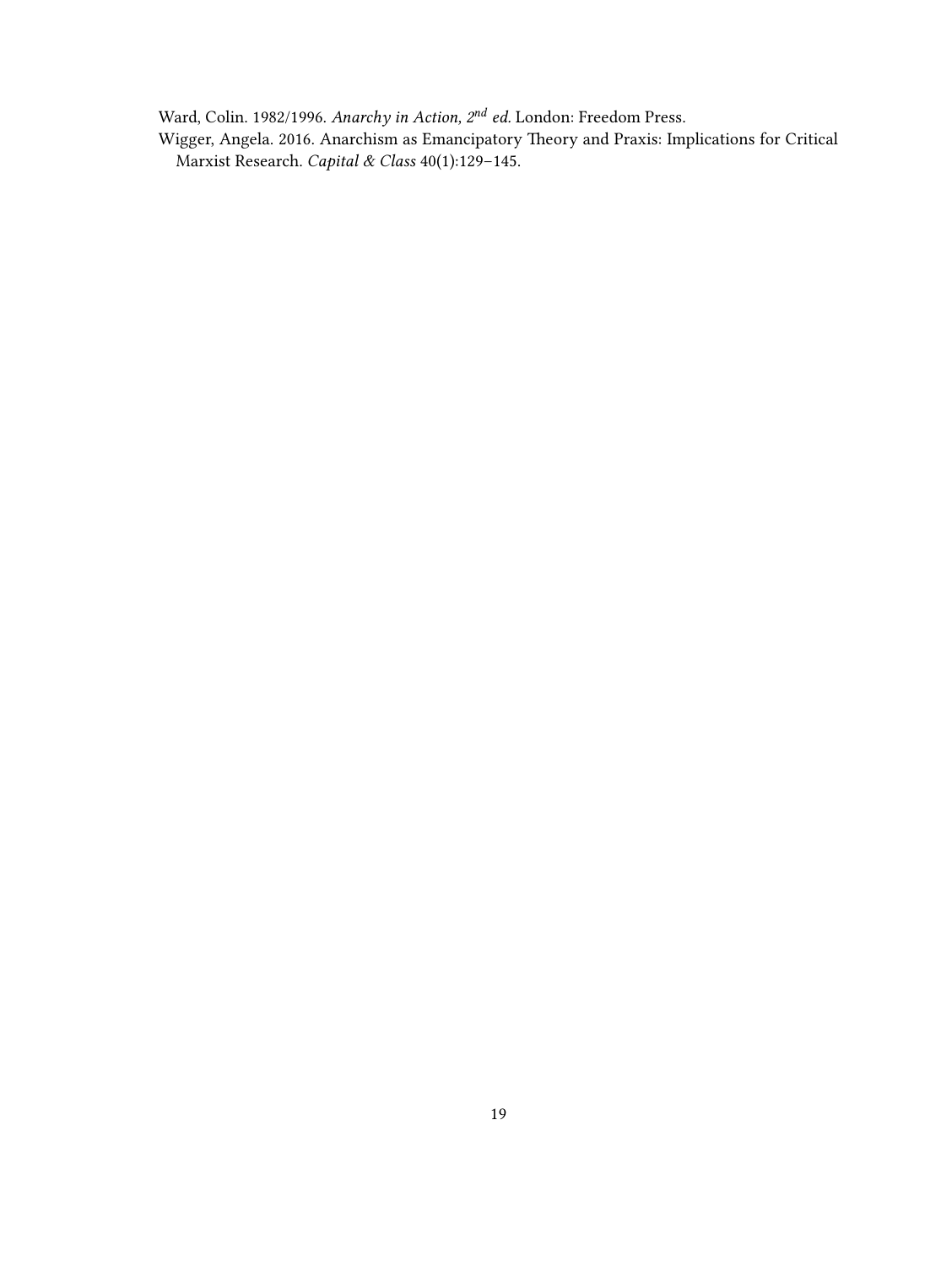Ward, Colin. 1982/1996. *Anarchy in Action, 2nd ed.* London: Freedom Press.

Wigger, Angela. 2016. Anarchism as Emancipatory Theory and Praxis: Implications for Critical Marxist Research. *Capital & Class* 40(1):129–145.